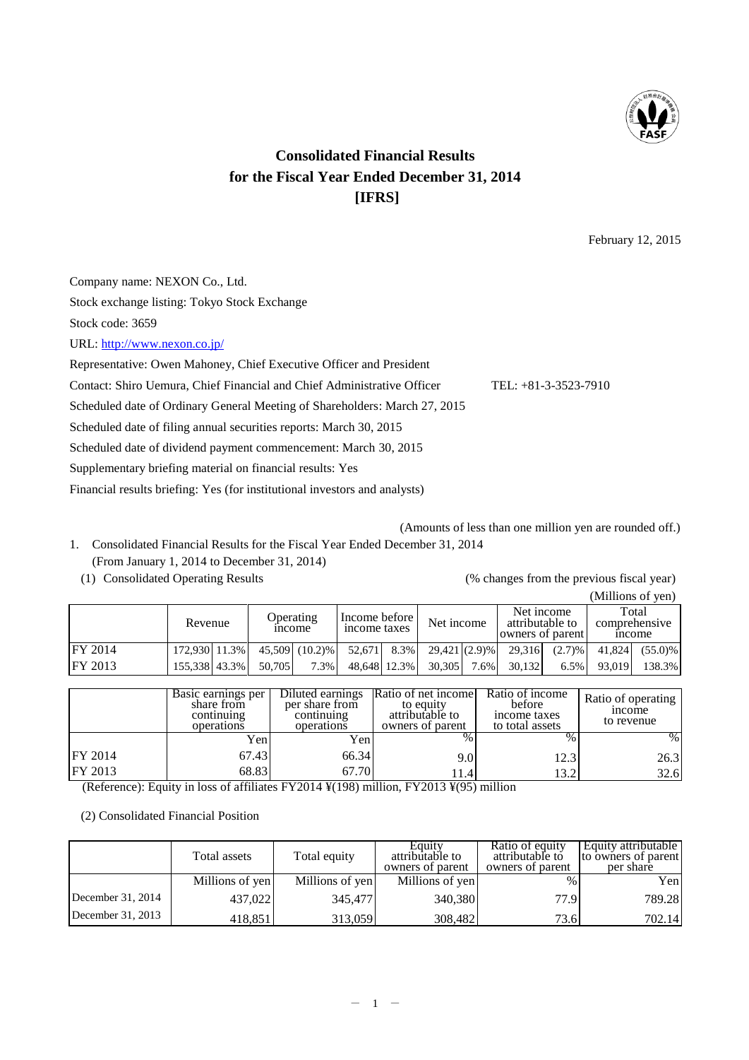

# **Consolidated Financial Results for the Fiscal Year Ended December 31, 2014 [IFRS]**

February 12, 2015

Company name: NEXON Co., Ltd. Stock exchange listing: Tokyo Stock Exchange Stock code: 3659 URL:<http://www.nexon.co.jp/> Representative: Owen Mahoney, Chief Executive Officer and President Contact: Shiro Uemura, Chief Financial and Chief Administrative Officer TEL: +81-3-3523-7910 Scheduled date of Ordinary General Meeting of Shareholders: March 27, 2015 Scheduled date of filing annual securities reports: March 30, 2015

Scheduled date of dividend payment commencement: March 30, 2015

Supplementary briefing material on financial results: Yes

(From January 1, 2014 to December 31, 2014)

Financial results briefing: Yes (for institutional investors and analysts)

(Amounts of less than one million yen are rounded off.) 1. Consolidated Financial Results for the Fiscal Year Ended December 31, 2014

(1) Consolidated Operating Results (% changes from the previous fiscal year)

|                |               |                    |                |                               |                       |      |                 |                                |        | (Millions of yen)                            |
|----------------|---------------|--------------------|----------------|-------------------------------|-----------------------|------|-----------------|--------------------------------|--------|----------------------------------------------|
|                | Revenue       | <sub>1</sub> ncome | Operating      | Income before<br>income taxes | Net income            |      | attributable to | Net income<br>owners of parent |        | Total<br>comprehensive<br><sub>1</sub> ncome |
| <b>FY 2014</b> | 172,930 11.3% |                    | 45.509 (10.2)% | 52.671                        | $8.3\%$ 29,421 (2.9)% |      | 29.316          | $(2.7)$ %                      | 41,824 | $(55.0)\%$                                   |
| <b>FY 2013</b> | 155,338 43.3% | 50.705             | 7.3%           | 48,648 12.3%                  | 30.305                | 7.6% | 30.132          | 6.5%                           | 93,019 | 138.3%                                       |

|                | Basic earnings per<br>share from<br>continuing<br>operations | Diluted earnings<br>per share from<br>continuing<br>operations | Ratio of net income<br>to equity<br>attributable to<br>owners of parent | Ratio of income<br>before<br>income taxes<br>to total assets | Ratio of operating<br><sub>1</sub> ncome<br>to revenue |
|----------------|--------------------------------------------------------------|----------------------------------------------------------------|-------------------------------------------------------------------------|--------------------------------------------------------------|--------------------------------------------------------|
|                | Yen                                                          | Yen                                                            |                                                                         | $\%$                                                         | $\%$                                                   |
| <b>FY 2014</b> | 67.43                                                        | 66.34                                                          | 9.0                                                                     | 12.3                                                         | 26.3                                                   |
| FY 2013        | 68.83                                                        | 67.70                                                          | 1.4                                                                     | 13.2                                                         | 32.6                                                   |

(Reference): Equity in loss of affiliates FY2014 ¥(198) million, FY2013 ¥(95) million

(2) Consolidated Financial Position

|                     | Total assets    | Total equity    | Equity<br>attributable to<br>owners of parent | Ratio of equity<br>attributable to<br>owners of parent | Equity attributable  <br>to owners of parent<br>per share |
|---------------------|-----------------|-----------------|-----------------------------------------------|--------------------------------------------------------|-----------------------------------------------------------|
|                     | Millions of yen | Millions of yen | Millions of yen                               | $\%$                                                   | Yen                                                       |
| December $31, 2014$ | 437,022         | 345,477         | 340,380                                       | 77.9                                                   | 789.28                                                    |
| December 31, 2013   | 418,851         | 313,059         | 308,482                                       | 73.6                                                   | 702.14                                                    |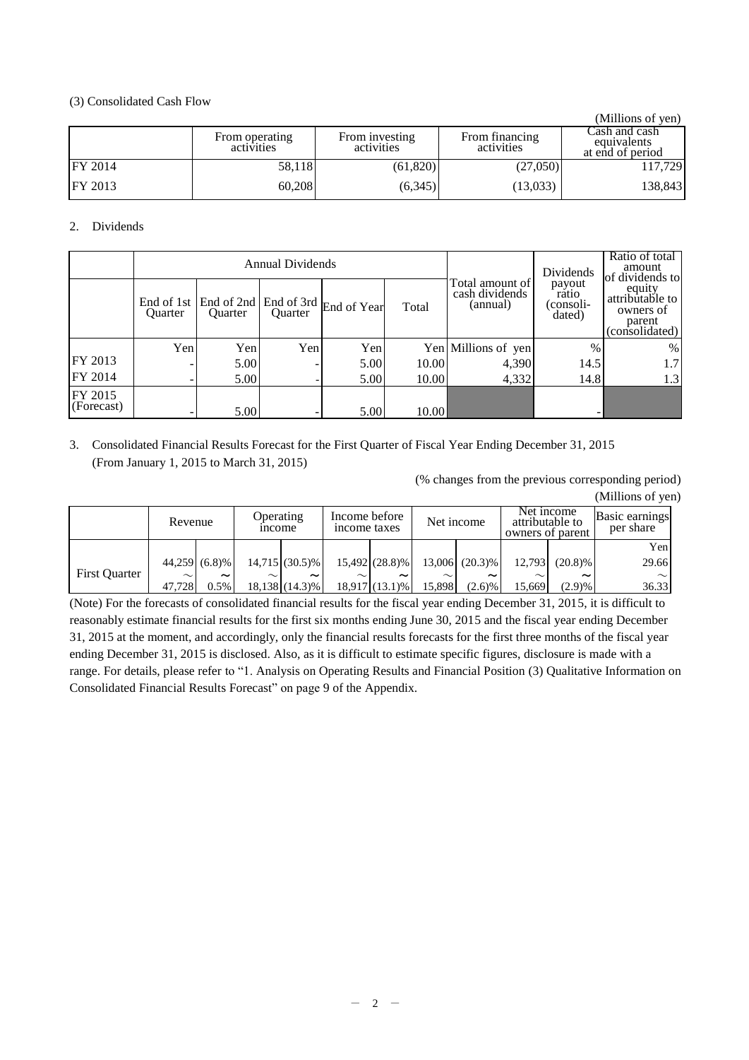# (3) Consolidated Cash Flow

|                |                              |                              |                              | (Millions of yen)                                |
|----------------|------------------------------|------------------------------|------------------------------|--------------------------------------------------|
|                | From operating<br>activities | From investing<br>activities | From financing<br>activities | Cash and cash<br>equivalents<br>at end of period |
| <b>FY 2014</b> | 58,118                       | (61,820)                     | (27,050)                     | 117,729                                          |
| <b>FY 2013</b> | 60,208                       | (6,345)                      | (13,033)                     | 138,843                                          |

# 2. Dividends

|                       |                |                                             | Annual Dividends |                        |       |                                               | Dividends                              | Ratio of total<br>amount<br>of dividends to<br>equity<br>attributable to<br>owners of<br>parent<br>(consolidated) |  |
|-----------------------|----------------|---------------------------------------------|------------------|------------------------|-------|-----------------------------------------------|----------------------------------------|-------------------------------------------------------------------------------------------------------------------|--|
|                       | <b>Ouarter</b> | End of 1st   End of 2nd  <br><b>Ouarter</b> | <b>Ouarter</b>   | End of 3rd End of Year | Total | Total amount of<br>cash dividends<br>(annual) | payout<br>ratio<br>(consoli-<br>dated) |                                                                                                                   |  |
|                       | Yen            | Yen                                         | Yen              | Yen                    |       | Yen Millions of yen                           | $\frac{0}{0}$                          | $\%$                                                                                                              |  |
| FY 2013               |                | 5.00                                        |                  | 5.00                   | 10.00 | 4,390                                         | 14.5                                   | 1.7                                                                                                               |  |
| FY 2014               |                | 5.00                                        |                  | 5.00                   | 10.00 | 4,332                                         | 14.8                                   | 1.3                                                                                                               |  |
| FY 2015<br>(Forecast) |                | 5.00                                        |                  | 5.00                   | 10.00 |                                               | -                                      |                                                                                                                   |  |

# 3. Consolidated Financial Results Forecast for the First Quarter of Fiscal Year Ending December 31, 2015 (From January 1, 2015 to March 31, 2015)

(% changes from the previous corresponding period)

| (Millions of yen) |  |  |
|-------------------|--|--|
|-------------------|--|--|

|                      | Income before<br>Operating<br>Revenue<br>income taxes<br><i>n</i> come |                       |        | Net income            |        | Net income<br>attributable to<br>owners of parent |        | <b>Basic earnings</b><br>per share |         |                       |        |
|----------------------|------------------------------------------------------------------------|-----------------------|--------|-----------------------|--------|---------------------------------------------------|--------|------------------------------------|---------|-----------------------|--------|
|                      |                                                                        |                       |        |                       |        |                                                   |        |                                    |         |                       | Yen    |
|                      |                                                                        | 44.259 (6.8)%         |        | $14.715(30.5)\%$      |        | 15,492 (28.8)%                                    | 13,006 | $(20.3)\%$                         | 12,793  | $(20.8)\%$            | 29.66  |
| <b>First Quarter</b> | $\sim$                                                                 | $\tilde{\phantom{a}}$ | $\sim$ | $\tilde{\phantom{a}}$ | $\sim$ | ~                                                 | $\sim$ | $\tilde{\phantom{a}}$              | $\sim$  | $\tilde{\phantom{a}}$ | $\sim$ |
|                      | 47.728                                                                 | 0.5%                  |        | $18,138$ $(14.3)\%$   |        | $18.917(13.1)\%$                                  | 15,898 | $(2.6)$ %                          | 15.6691 | (2.9)%                | 36.33  |

(Note) For the forecasts of consolidated financial results for the fiscal year ending December 31, 2015, it is difficult to reasonably estimate financial results for the first six months ending June 30, 2015 and the fiscal year ending December 31, 2015 at the moment, and accordingly, only the financial results forecasts for the first three months of the fiscal year ending December 31, 2015 is disclosed. Also, as it is difficult to estimate specific figures, disclosure is made with a range. For details, please refer to "1. Analysis on Operating Results and Financial Position (3) Qualitative Information on Consolidated Financial Results Forecast" on page 9 of the Appendix.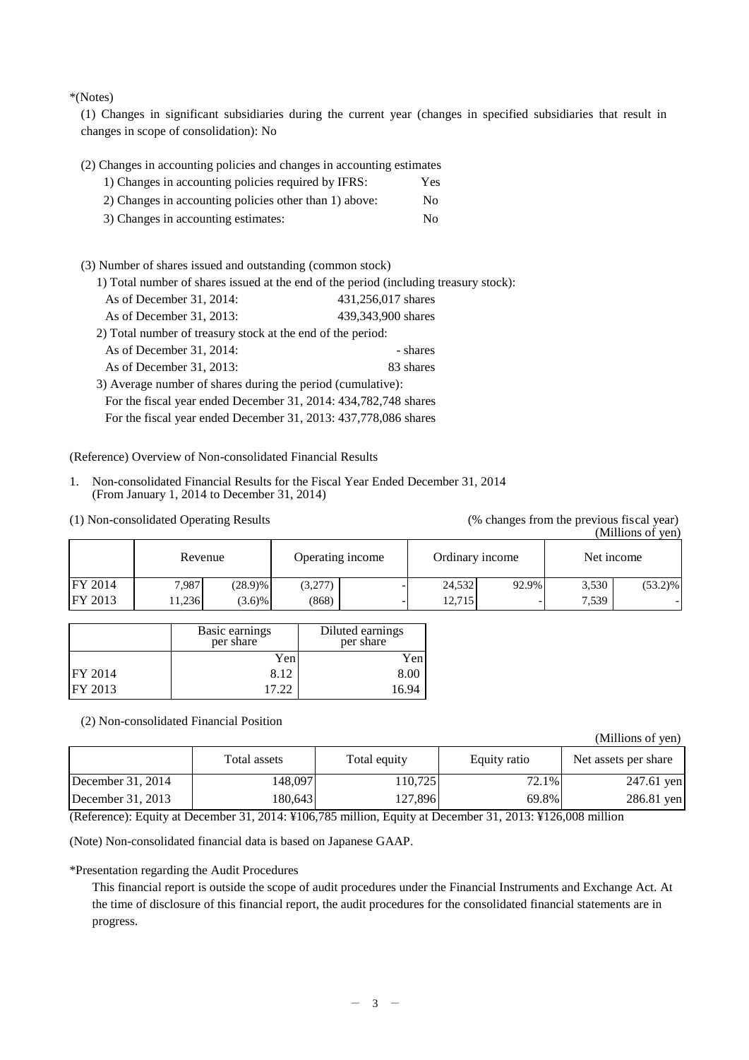\*(Notes)

(1) Changes in significant subsidiaries during the current year (changes in specified subsidiaries that result in changes in scope of consolidation): No

|  |  |  |  | (2) Changes in accounting policies and changes in accounting estimates |  |
|--|--|--|--|------------------------------------------------------------------------|--|
|  |  |  |  |                                                                        |  |
|  |  |  |  |                                                                        |  |
|  |  |  |  |                                                                        |  |

| 1) Changes in accounting policies required by IFRS:    | Yes |
|--------------------------------------------------------|-----|
| 2) Changes in accounting policies other than 1) above: | No. |
| 3) Changes in accounting estimates:                    | No. |

(3) Number of shares issued and outstanding (common stock)

1) Total number of shares issued at the end of the period (including treasury stock):

| 439,343,900 shares<br>As of December 31, 2013:                  |           |  |  |  |  |  |
|-----------------------------------------------------------------|-----------|--|--|--|--|--|
| 2) Total number of treasury stock at the end of the period:     |           |  |  |  |  |  |
| As of December $31, 2014$ :                                     | - shares  |  |  |  |  |  |
| As of December 31, 2013:                                        | 83 shares |  |  |  |  |  |
| 3) Average number of shares during the period (cumulative):     |           |  |  |  |  |  |
| For the fiscal year ended December 31, 2014: 434,782,748 shares |           |  |  |  |  |  |

For the fiscal year ended December 31, 2013: 437,778,086 shares

(Reference) Overview of Non-consolidated Financial Results

- 1. Non-consolidated Financial Results for the Fiscal Year Ended December 31, 2014 (From January 1, 2014 to December 31, 2014)
- (1) Non-consolidated Operating Results (% changes from the previous fiscal year)

(Millions of yen)

|                | Revenue |            | Operating income |  |        | Ordinary income | Net income |            |
|----------------|---------|------------|------------------|--|--------|-----------------|------------|------------|
| <b>FY 2014</b> | 7,987   | $(28.9)$ % | (3,277)          |  | 24,532 | 92.9%           | 3,530      | $(53.2)\%$ |
| <b>FY 2013</b> | 1.236   | $(3.6)\%$  | (868)            |  | 12,715 |                 | 7,539      |            |

|                | Basic earnings<br>per share | Diluted earnings<br>per share |
|----------------|-----------------------------|-------------------------------|
|                | Yen                         | Yen                           |
| <b>FY 2014</b> | 8.12                        | 8.00                          |
| <b>FY 2013</b> | 17.22                       | 16.94                         |

(2) Non-consolidated Financial Position

(Millions of yen)

|                     | Total assets | Total equity | Equity ratio | Net assets per share |  |
|---------------------|--------------|--------------|--------------|----------------------|--|
| December $31, 2014$ | 148.097      | 110.7251     | 72.1%        | 247.61 yen           |  |
| December $31, 2013$ | 180.643      | 127.896      | 69.8%        | $286.81$ yen         |  |

(Reference): Equity at December 31, 2014: ¥106,785 million, Equity at December 31, 2013: ¥126,008 million

(Note) Non-consolidated financial data is based on Japanese GAAP.

\*Presentation regarding the Audit Procedures

This financial report is outside the scope of audit procedures under the Financial Instruments and Exchange Act. At the time of disclosure of this financial report, the audit procedures for the consolidated financial statements are in progress.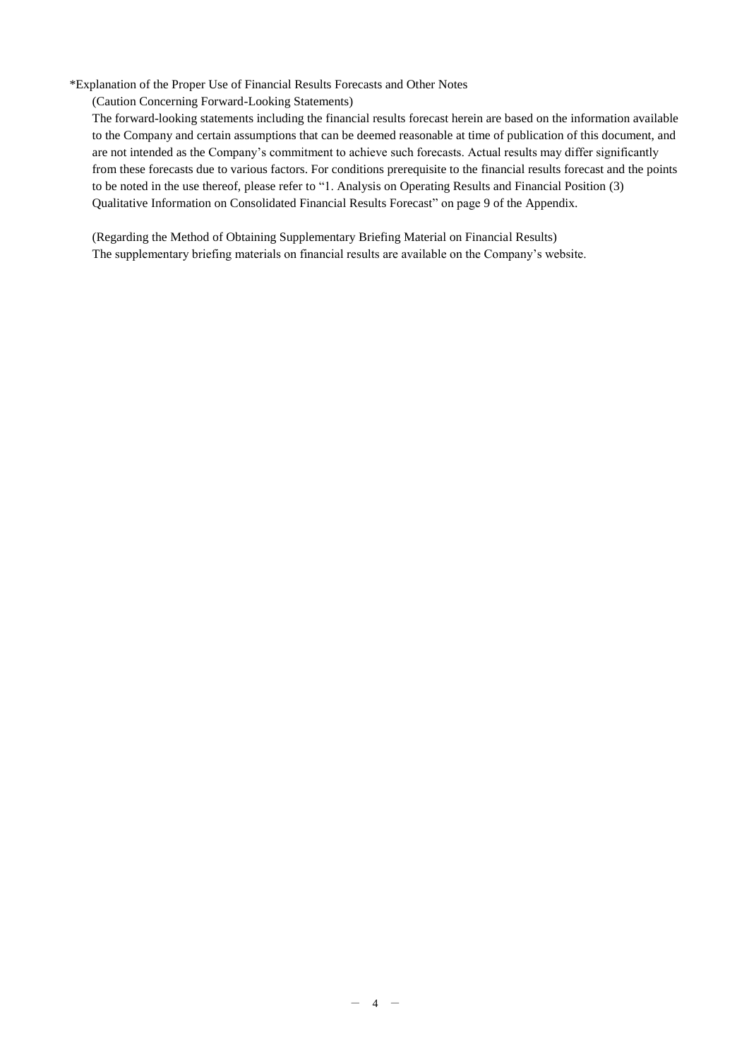## \*Explanation of the Proper Use of Financial Results Forecasts and Other Notes

(Caution Concerning Forward-Looking Statements)

The forward-looking statements including the financial results forecast herein are based on the information available to the Company and certain assumptions that can be deemed reasonable at time of publication of this document, and are not intended as the Company's commitment to achieve such forecasts. Actual results may differ significantly from these forecasts due to various factors. For conditions prerequisite to the financial results forecast and the points to be noted in the use thereof, please refer to "1. Analysis on Operating Results and Financial Position (3) Qualitative Information on Consolidated Financial Results Forecast" on page 9 of the Appendix.

(Regarding the Method of Obtaining Supplementary Briefing Material on Financial Results) The supplementary briefing materials on financial results are available on the Company's website.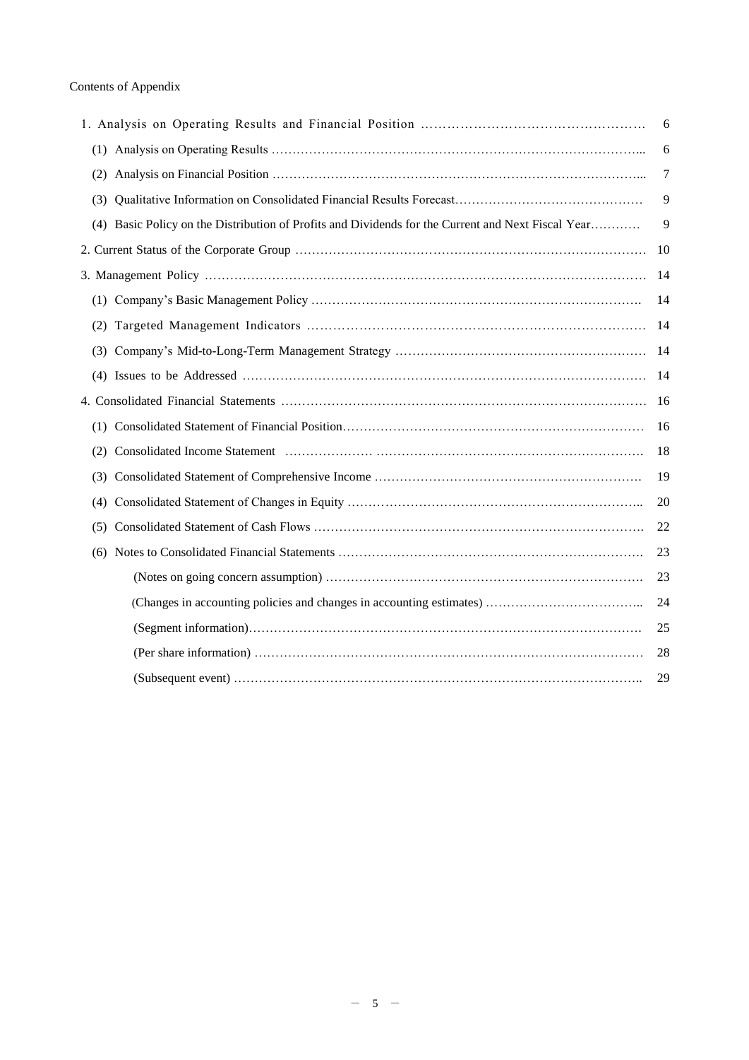|     |                                                                                                    | 6  |
|-----|----------------------------------------------------------------------------------------------------|----|
|     |                                                                                                    | 6  |
| (2) |                                                                                                    | 7  |
| (3) |                                                                                                    | 9  |
|     | (4) Basic Policy on the Distribution of Profits and Dividends for the Current and Next Fiscal Year | 9  |
|     |                                                                                                    | 10 |
|     |                                                                                                    | 14 |
|     |                                                                                                    | 14 |
| (2) |                                                                                                    | 14 |
| (3) |                                                                                                    | 14 |
|     |                                                                                                    | 14 |
|     |                                                                                                    | 16 |
| (1) |                                                                                                    | 16 |
| (2) |                                                                                                    | 18 |
| (3) |                                                                                                    | 19 |
| (4) |                                                                                                    | 20 |
| (5) |                                                                                                    | 22 |
| (6) |                                                                                                    | 23 |
|     |                                                                                                    | 23 |
|     |                                                                                                    | 24 |
|     |                                                                                                    | 25 |
|     |                                                                                                    | 28 |
|     |                                                                                                    | 29 |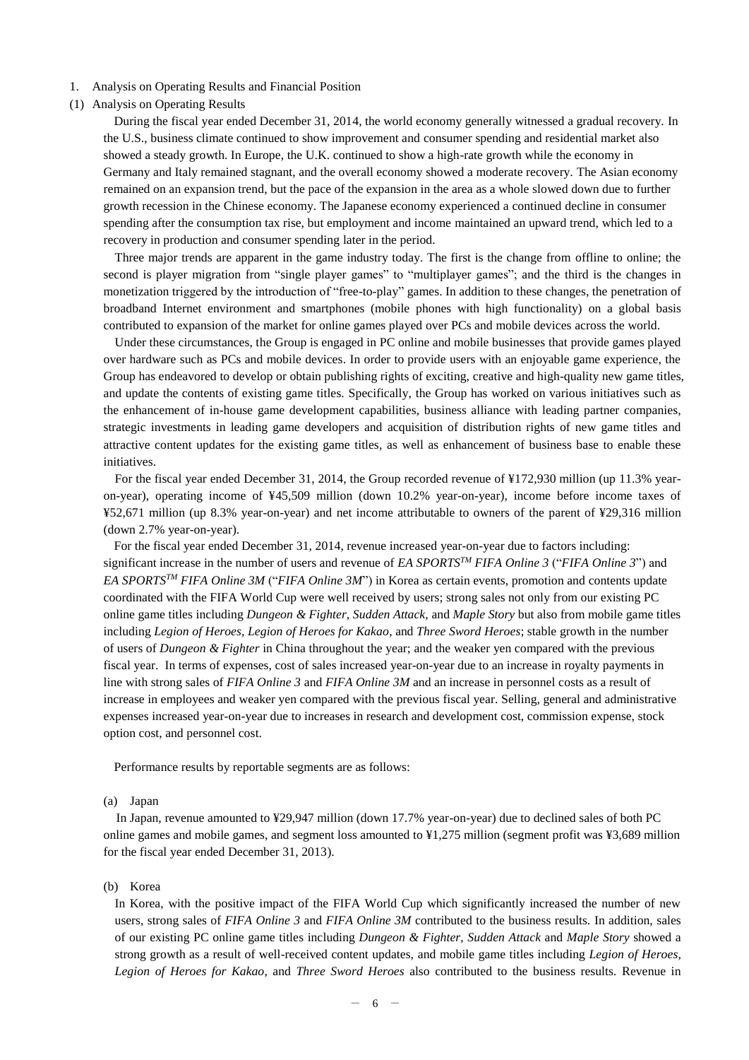- 1. Analysis on Operating Results and Financial Position
- (1) Analysis on Operating Results

During the fiscal year ended December 31, 2014, the world economy generally witnessed a gradual recovery. In the U.S., business climate continued to show improvement and consumer spending and residential market also showed a steady growth. In Europe, the U.K. continued to show a high-rate growth while the economy in Germany and Italy remained stagnant, and the overall economy showed a moderate recovery. The Asian economy remained on an expansion trend, but the pace of the expansion in the area as a whole slowed down due to further growth recession in the Chinese economy. The Japanese economy experienced a continued decline in consumer spending after the consumption tax rise, but employment and income maintained an upward trend, which led to a recovery in production and consumer spending later in the period.

Three major trends are apparent in the game industry today. The first is the change from offline to online; the second is player migration from "single player games" to "multiplayer games"; and the third is the changes in monetization triggered by the introduction of "free-to-play" games. In addition to these changes, the penetration of broadband Internet environment and smartphones (mobile phones with high functionality) on a global basis contributed to expansion of the market for online games played over PCs and mobile devices across the world.

Under these circumstances, the Group is engaged in PC online and mobile businesses that provide games played over hardware such as PCs and mobile devices. In order to provide users with an enjoyable game experience, the Group has endeavored to develop or obtain publishing rights of exciting, creative and high-quality new game titles, and update the contents of existing game titles. Specifically, the Group has worked on various initiatives such as the enhancement of in-house game development capabilities, business alliance with leading partner companies, strategic investments in leading game developers and acquisition of distribution rights of new game titles and attractive content updates for the existing game titles, as well as enhancement of business base to enable these initiatives.

For the fiscal year ended December 31, 2014, the Group recorded revenue of ¥172,930 million (up 11.3% yearon-year), operating income of ¥45,509 million (down 10.2% year-on-year), income before income taxes of ¥52,671 million (up 8.3% year-on-year) and net income attributable to owners of the parent of ¥29,316 million (down 2.7% year-on-year).

For the fiscal year ended December 31, 2014, revenue increased year-on-year due to factors including: significant increase in the number of users and revenue of *EA SPORTSTM FIFA Online 3* ("*FIFA Online 3*") and *EA SPORTSTM FIFA Online 3M* ("*FIFA Online 3M*") in Korea as certain events, promotion and contents update coordinated with the FIFA World Cup were well received by users; strong sales not only from our existing PC online game titles including *Dungeon & Fighter, Sudden Attack,* and *Maple Story* but also from mobile game titles including *Legion of Heroes, Legion of Heroes for Kakao*, and *Three Sword Heroes*; stable growth in the number of users of *Dungeon & Fighter* in China throughout the year; and the weaker yen compared with the previous fiscal year. In terms of expenses, cost of sales increased year-on-year due to an increase in royalty payments in line with strong sales of *FIFA Online 3* and *FIFA Online 3M* and an increase in personnel costs as a result of increase in employees and weaker yen compared with the previous fiscal year. Selling, general and administrative expenses increased year-on-year due to increases in research and development cost, commission expense, stock option cost, and personnel cost.

Performance results by reportable segments are as follows:

#### (a) Japan

In Japan, revenue amounted to ¥29,947 million (down 17.7% year-on-year) due to declined sales of both PC online games and mobile games, and segment loss amounted to ¥1,275 million (segment profit was ¥3,689 million for the fiscal year ended December 31, 2013).

### (b) Korea

In Korea, with the positive impact of the FIFA World Cup which significantly increased the number of new users, strong sales of *FIFA Online 3* and *FIFA Online 3M* contributed to the business results. In addition, sales of our existing PC online game titles including *Dungeon & Fighter, Sudden Attack* and *Maple Story* showed a strong growth as a result of well-received content updates, and mobile game titles including *Legion of Heroes, Legion of Heroes for Kakao*, and *Three Sword Heroes* also contributed to the business results. Revenue in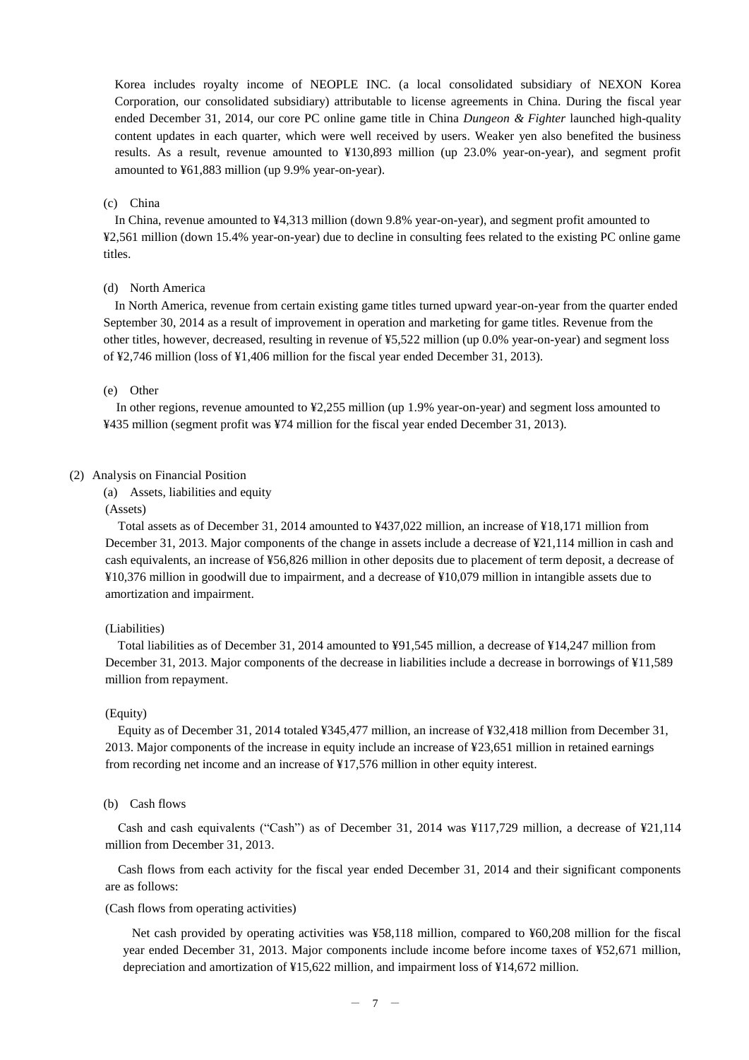Korea includes royalty income of NEOPLE INC. (a local consolidated subsidiary of NEXON Korea Corporation, our consolidated subsidiary) attributable to license agreements in China. During the fiscal year ended December 31, 2014, our core PC online game title in China *Dungeon & Fighter* launched high-quality content updates in each quarter, which were well received by users. Weaker yen also benefited the business results. As a result, revenue amounted to ¥130,893 million (up 23.0% year-on-year), and segment profit amounted to ¥61,883 million (up 9.9% year-on-year).

#### (c) China

In China, revenue amounted to ¥4,313 million (down 9.8% year-on-year), and segment profit amounted to ¥2,561 million (down 15.4% year-on-year) due to decline in consulting fees related to the existing PC online game titles.

## (d) North America

In North America, revenue from certain existing game titles turned upward year-on-year from the quarter ended September 30, 2014 as a result of improvement in operation and marketing for game titles. Revenue from the other titles, however, decreased, resulting in revenue of ¥5,522 million (up 0.0% year-on-year) and segment loss of ¥2,746 million (loss of ¥1,406 million for the fiscal year ended December 31, 2013).

#### (e) Other

In other regions, revenue amounted to ¥2,255 million (up 1.9% year-on-year) and segment loss amounted to ¥435 million (segment profit was ¥74 million for the fiscal year ended December 31, 2013).

## (2) Analysis on Financial Position

(a) Assets, liabilities and equity

## (Assets)

Total assets as of December 31, 2014 amounted to ¥437,022 million, an increase of ¥18,171 million from December 31, 2013. Major components of the change in assets include a decrease of ¥21,114 million in cash and cash equivalents, an increase of ¥56,826 million in other deposits due to placement of term deposit, a decrease of ¥10,376 million in goodwill due to impairment, and a decrease of ¥10,079 million in intangible assets due to amortization and impairment.

#### (Liabilities)

Total liabilities as of December 31, 2014 amounted to ¥91,545 million, a decrease of ¥14,247 million from December 31, 2013. Major components of the decrease in liabilities include a decrease in borrowings of ¥11,589 million from repayment.

#### (Equity)

Equity as of December 31, 2014 totaled ¥345,477 million, an increase of ¥32,418 million from December 31, 2013. Major components of the increase in equity include an increase of ¥23,651 million in retained earnings from recording net income and an increase of ¥17,576 million in other equity interest.

#### (b) Cash flows

Cash and cash equivalents ("Cash") as of December 31, 2014 was ¥117,729 million, a decrease of ¥21,114 million from December 31, 2013.

Cash flows from each activity for the fiscal year ended December 31, 2014 and their significant components are as follows:

(Cash flows from operating activities)

Net cash provided by operating activities was ¥58,118 million, compared to ¥60,208 million for the fiscal year ended December 31, 2013. Major components include income before income taxes of ¥52,671 million, depreciation and amortization of ¥15,622 million, and impairment loss of ¥14,672 million.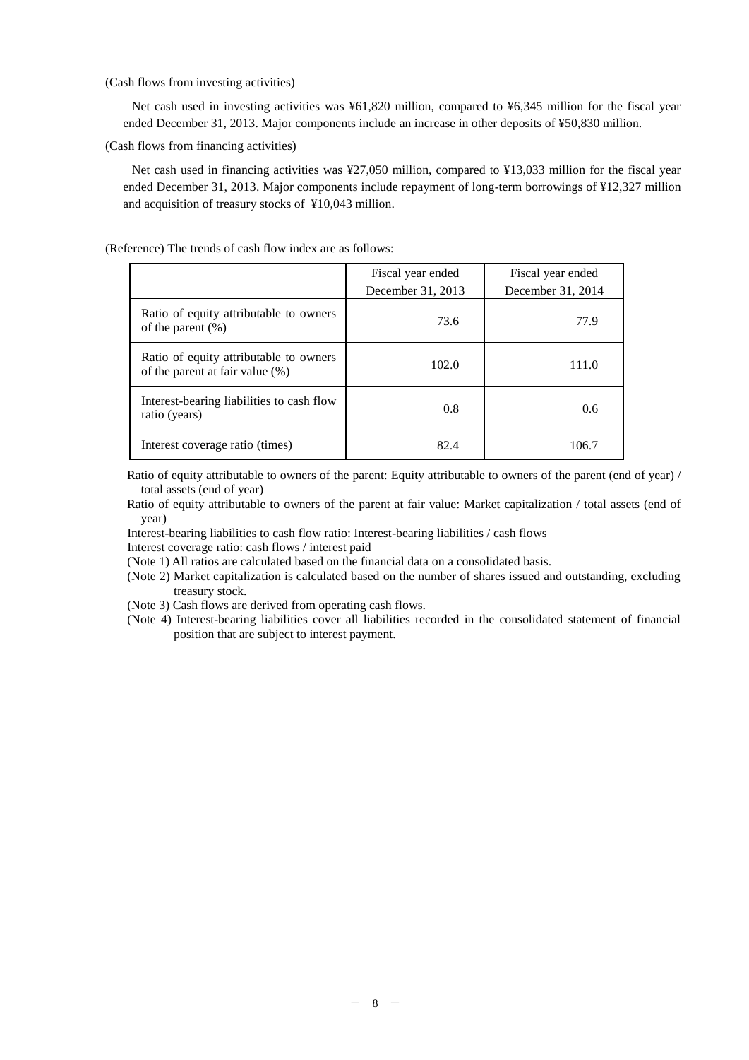(Cash flows from investing activities)

Net cash used in investing activities was ¥61,820 million, compared to ¥6,345 million for the fiscal year ended December 31, 2013. Major components include an increase in other deposits of ¥50,830 million.

(Cash flows from financing activities)

Net cash used in financing activities was ¥27,050 million, compared to ¥13,033 million for the fiscal year ended December 31, 2013. Major components include repayment of long-term borrowings of ¥12,327 million and acquisition of treasury stocks of ¥10,043 million.

(Reference) The trends of cash flow index are as follows:

|                                                                              | Fiscal year ended                      | Fiscal year ended |  |  |  |
|------------------------------------------------------------------------------|----------------------------------------|-------------------|--|--|--|
|                                                                              | December 31, 2013<br>December 31, 2014 |                   |  |  |  |
| Ratio of equity attributable to owners<br>of the parent $(\%)$               | 73.6                                   | 77.9              |  |  |  |
| Ratio of equity attributable to owners<br>of the parent at fair value $(\%)$ | 102.0                                  | 111.0             |  |  |  |
| Interest-bearing liabilities to cash flow<br>ratio (years)                   | 0.8                                    | 0.6               |  |  |  |
| Interest coverage ratio (times)                                              | 82.4                                   | 106.7             |  |  |  |

Ratio of equity attributable to owners of the parent: Equity attributable to owners of the parent (end of year) / total assets (end of year)

Ratio of equity attributable to owners of the parent at fair value: Market capitalization / total assets (end of year)

Interest-bearing liabilities to cash flow ratio: Interest-bearing liabilities / cash flows

Interest coverage ratio: cash flows / interest paid

(Note 1) All ratios are calculated based on the financial data on a consolidated basis.

(Note 2) Market capitalization is calculated based on the number of shares issued and outstanding, excluding treasury stock.

(Note 3) Cash flows are derived from operating cash flows.

(Note 4) Interest-bearing liabilities cover all liabilities recorded in the consolidated statement of financial position that are subject to interest payment.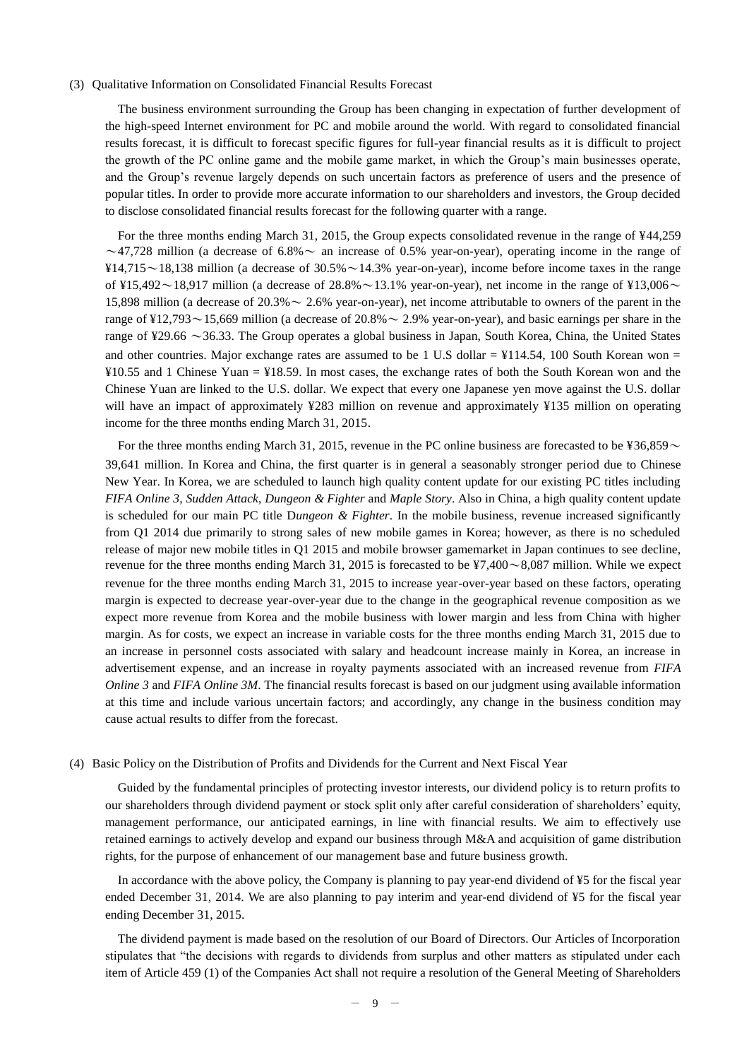#### (3) Qualitative Information on Consolidated Financial Results Forecast

The business environment surrounding the Group has been changing in expectation of further development of the high-speed Internet environment for PC and mobile around the world. With regard to consolidated financial results forecast, it is difficult to forecast specific figures for full-year financial results as it is difficult to project the growth of the PC online game and the mobile game market, in which the Group's main businesses operate, and the Group's revenue largely depends on such uncertain factors as preference of users and the presence of popular titles. In order to provide more accurate information to our shareholders and investors, the Group decided to disclose consolidated financial results forecast for the following quarter with a range.

For the three months ending March 31, 2015, the Group expects consolidated revenue in the range of ¥44,259  $\sim$ 47,728 million (a decrease of 6.8%  $\sim$  an increase of 0.5% year-on-year), operating income in the range of  $\frac{14}{715}$  ~ 18,138 million (a decrease of 30.5% ~ 14.3% year-on-year), income before income taxes in the range of ¥15,492 $\sim$ 18,917 million (a decrease of 28.8% $\sim$ 13.1% year-on-year), net income in the range of ¥13,006 $\sim$ 15,898 million (a decrease of  $20.3\% \sim 2.6\%$  year-on-year), net income attributable to owners of the parent in the range of  $\frac{12,793}{\sim}$  15,669 million (a decrease of 20.8%  $\sim$  2.9% year-on-year), and basic earnings per share in the range of ¥29.66 ~36.33. The Group operates a global business in Japan, South Korea, China, the United States and other countries. Major exchange rates are assumed to be 1 U.S dollar  $=$  ¥114.54, 100 South Korean won  $=$ ¥10.55 and 1 Chinese Yuan = ¥18.59. In most cases, the exchange rates of both the South Korean won and the Chinese Yuan are linked to the U.S. dollar. We expect that every one Japanese yen move against the U.S. dollar will have an impact of approximately ¥283 million on revenue and approximately ¥135 million on operating income for the three months ending March 31, 2015.

For the three months ending March 31, 2015, revenue in the PC online business are forecasted to be  $\frac{1}{26,859}$ 39,641 million. In Korea and China, the first quarter is in general a seasonably stronger period due to Chinese New Year. In Korea, we are scheduled to launch high quality content update for our existing PC titles including *FIFA Online 3*, *Sudden Attack*, *Dungeon & Fighter* and *Maple Story*. Also in China, a high quality content update is scheduled for our main PC title D*ungeon & Fighter*. In the mobile business, revenue increased significantly from Q1 2014 due primarily to strong sales of new mobile games in Korea; however, as there is no scheduled release of major new mobile titles in Q1 2015 and mobile browser gamemarket in Japan continues to see decline, revenue for the three months ending March 31, 2015 is forecasted to be  $\frac{47,400}{8,087}$  million. While we expect revenue for the three months ending March 31, 2015 to increase year-over-year based on these factors, operating margin is expected to decrease year-over-year due to the change in the geographical revenue composition as we expect more revenue from Korea and the mobile business with lower margin and less from China with higher margin. As for costs, we expect an increase in variable costs for the three months ending March 31, 2015 due to an increase in personnel costs associated with salary and headcount increase mainly in Korea, an increase in advertisement expense, and an increase in royalty payments associated with an increased revenue from *FIFA Online 3* and *FIFA Online 3M*. The financial results forecast is based on our judgment using available information at this time and include various uncertain factors; and accordingly, any change in the business condition may cause actual results to differ from the forecast.

## (4) Basic Policy on the Distribution of Profits and Dividends for the Current and Next Fiscal Year

Guided by the fundamental principles of protecting investor interests, our dividend policy is to return profits to our shareholders through dividend payment or stock split only after careful consideration of shareholders' equity, management performance, our anticipated earnings, in line with financial results. We aim to effectively use retained earnings to actively develop and expand our business through M&A and acquisition of game distribution rights, for the purpose of enhancement of our management base and future business growth.

In accordance with the above policy, the Company is planning to pay year-end dividend of ¥5 for the fiscal year ended December 31, 2014. We are also planning to pay interim and year-end dividend of ¥5 for the fiscal year ending December 31, 2015.

The dividend payment is made based on the resolution of our Board of Directors. Our Articles of Incorporation stipulates that "the decisions with regards to dividends from surplus and other matters as stipulated under each item of Article 459 (1) of the Companies Act shall not require a resolution of the General Meeting of Shareholders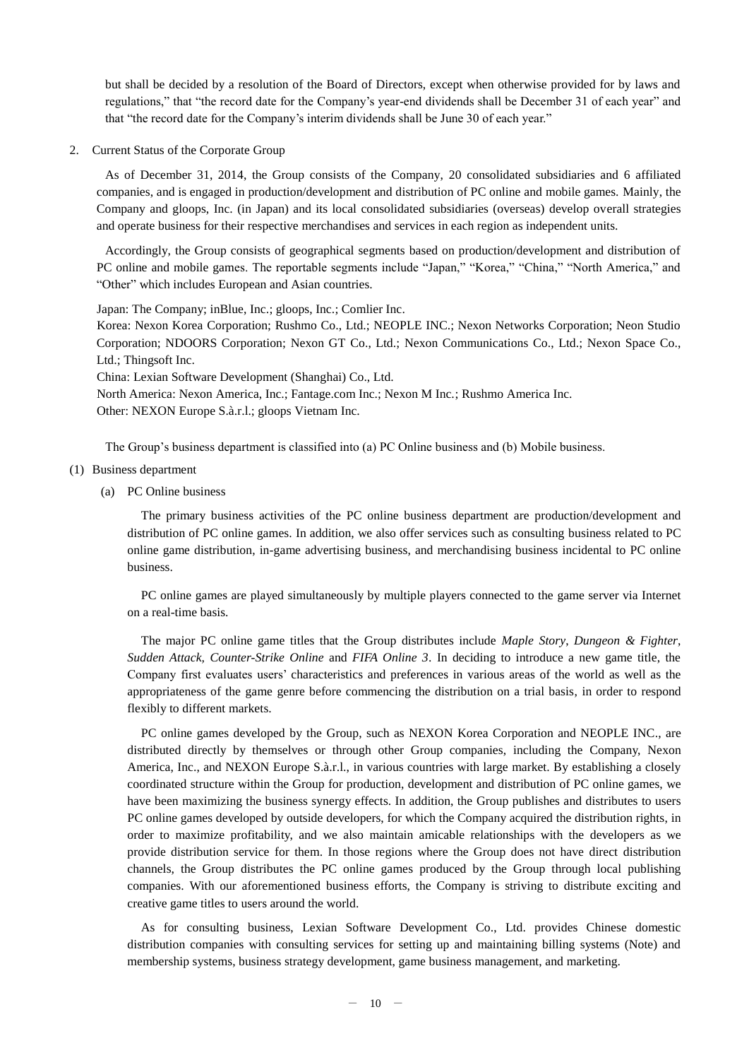but shall be decided by a resolution of the Board of Directors, except when otherwise provided for by laws and regulations," that "the record date for the Company's year-end dividends shall be December 31 of each year" and that "the record date for the Company's interim dividends shall be June 30 of each year."

2. Current Status of the Corporate Group

As of December 31, 2014, the Group consists of the Company, 20 consolidated subsidiaries and 6 affiliated companies, and is engaged in production/development and distribution of PC online and mobile games. Mainly, the Company and gloops, Inc. (in Japan) and its local consolidated subsidiaries (overseas) develop overall strategies and operate business for their respective merchandises and services in each region as independent units.

Accordingly, the Group consists of geographical segments based on production/development and distribution of PC online and mobile games. The reportable segments include "Japan," "Korea," "China," "North America," and "Other" which includes European and Asian countries.

Japan: The Company; inBlue, Inc.; gloops, Inc.; Comlier Inc.

Korea: Nexon Korea Corporation; Rushmo Co., Ltd.; NEOPLE INC.; Nexon Networks Corporation; Neon Studio Corporation; NDOORS Corporation; Nexon GT Co., Ltd.; Nexon Communications Co., Ltd.; Nexon Space Co., Ltd.; Thingsoft Inc.

China: Lexian Software Development (Shanghai) Co., Ltd.

North America: Nexon America, Inc.; Fantage.com Inc.; Nexon M Inc.; Rushmo America Inc. Other: NEXON Europe S.à.r.l.; gloops Vietnam Inc.

The Group's business department is classified into (a) PC Online business and (b) Mobile business.

- (1) Business department
	- (a) PC Online business

The primary business activities of the PC online business department are production/development and distribution of PC online games. In addition, we also offer services such as consulting business related to PC online game distribution, in-game advertising business, and merchandising business incidental to PC online business.

PC online games are played simultaneously by multiple players connected to the game server via Internet on a real-time basis.

The major PC online game titles that the Group distributes include *Maple Story*, *Dungeon & Fighter*, *Sudden Attack, Counter-Strike Online* and *FIFA Online 3*. In deciding to introduce a new game title, the Company first evaluates users' characteristics and preferences in various areas of the world as well as the appropriateness of the game genre before commencing the distribution on a trial basis, in order to respond flexibly to different markets.

PC online games developed by the Group, such as NEXON Korea Corporation and NEOPLE INC., are distributed directly by themselves or through other Group companies, including the Company, Nexon America, Inc., and NEXON Europe S.à.r.l., in various countries with large market. By establishing a closely coordinated structure within the Group for production, development and distribution of PC online games, we have been maximizing the business synergy effects. In addition, the Group publishes and distributes to users PC online games developed by outside developers, for which the Company acquired the distribution rights, in order to maximize profitability, and we also maintain amicable relationships with the developers as we provide distribution service for them. In those regions where the Group does not have direct distribution channels, the Group distributes the PC online games produced by the Group through local publishing companies. With our aforementioned business efforts, the Company is striving to distribute exciting and creative game titles to users around the world.

As for consulting business, Lexian Software Development Co., Ltd. provides Chinese domestic distribution companies with consulting services for setting up and maintaining billing systems (Note) and membership systems, business strategy development, game business management, and marketing.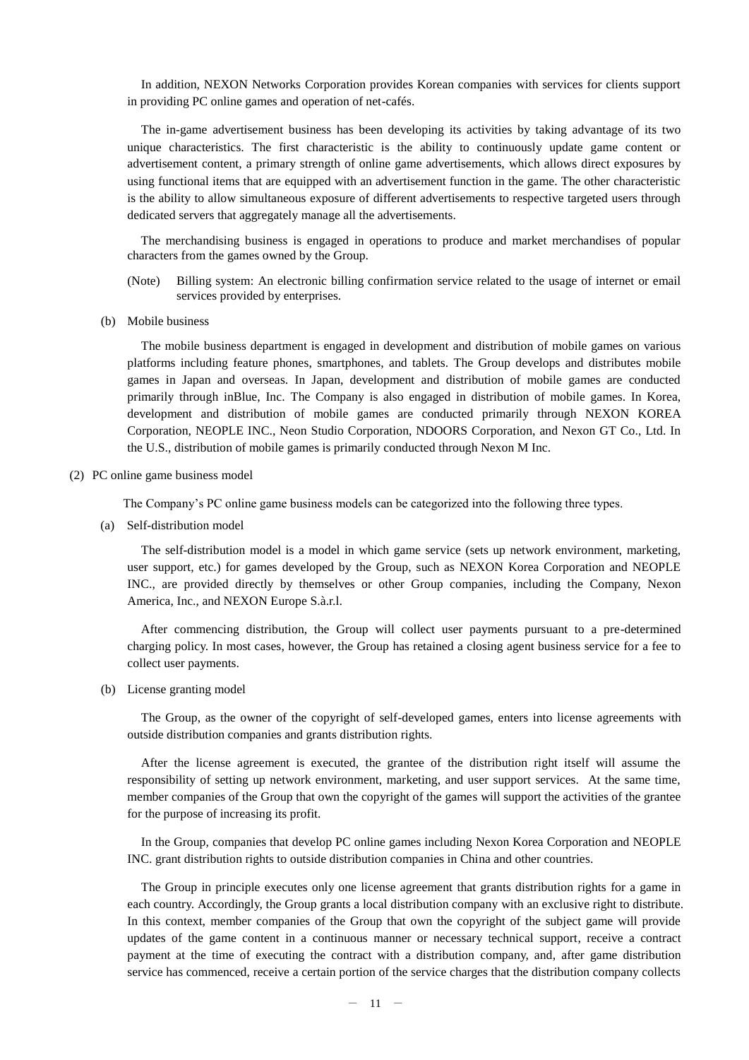In addition, NEXON Networks Corporation provides Korean companies with services for clients support in providing PC online games and operation of net-cafés.

The in-game advertisement business has been developing its activities by taking advantage of its two unique characteristics. The first characteristic is the ability to continuously update game content or advertisement content, a primary strength of online game advertisements, which allows direct exposures by using functional items that are equipped with an advertisement function in the game. The other characteristic is the ability to allow simultaneous exposure of different advertisements to respective targeted users through dedicated servers that aggregately manage all the advertisements.

The merchandising business is engaged in operations to produce and market merchandises of popular characters from the games owned by the Group.

- (Note) Billing system: An electronic billing confirmation service related to the usage of internet or email services provided by enterprises.
- (b) Mobile business

The mobile business department is engaged in development and distribution of mobile games on various platforms including feature phones, smartphones, and tablets. The Group develops and distributes mobile games in Japan and overseas. In Japan, development and distribution of mobile games are conducted primarily through inBlue, Inc. The Company is also engaged in distribution of mobile games. In Korea, development and distribution of mobile games are conducted primarily through NEXON KOREA Corporation, NEOPLE INC., Neon Studio Corporation, NDOORS Corporation, and Nexon GT Co., Ltd. In the U.S., distribution of mobile games is primarily conducted through Nexon M Inc.

#### (2) PC online game business model

The Company's PC online game business models can be categorized into the following three types.

(a) Self-distribution model

The self-distribution model is a model in which game service (sets up network environment, marketing, user support, etc.) for games developed by the Group, such as NEXON Korea Corporation and NEOPLE INC., are provided directly by themselves or other Group companies, including the Company, Nexon America, Inc., and NEXON Europe S.à.r.l.

After commencing distribution, the Group will collect user payments pursuant to a pre-determined charging policy. In most cases, however, the Group has retained a closing agent business service for a fee to collect user payments.

(b) License granting model

The Group, as the owner of the copyright of self-developed games, enters into license agreements with outside distribution companies and grants distribution rights.

After the license agreement is executed, the grantee of the distribution right itself will assume the responsibility of setting up network environment, marketing, and user support services. At the same time, member companies of the Group that own the copyright of the games will support the activities of the grantee for the purpose of increasing its profit.

In the Group, companies that develop PC online games including Nexon Korea Corporation and NEOPLE INC. grant distribution rights to outside distribution companies in China and other countries.

The Group in principle executes only one license agreement that grants distribution rights for a game in each country. Accordingly, the Group grants a local distribution company with an exclusive right to distribute. In this context, member companies of the Group that own the copyright of the subject game will provide updates of the game content in a continuous manner or necessary technical support, receive a contract payment at the time of executing the contract with a distribution company, and, after game distribution service has commenced, receive a certain portion of the service charges that the distribution company collects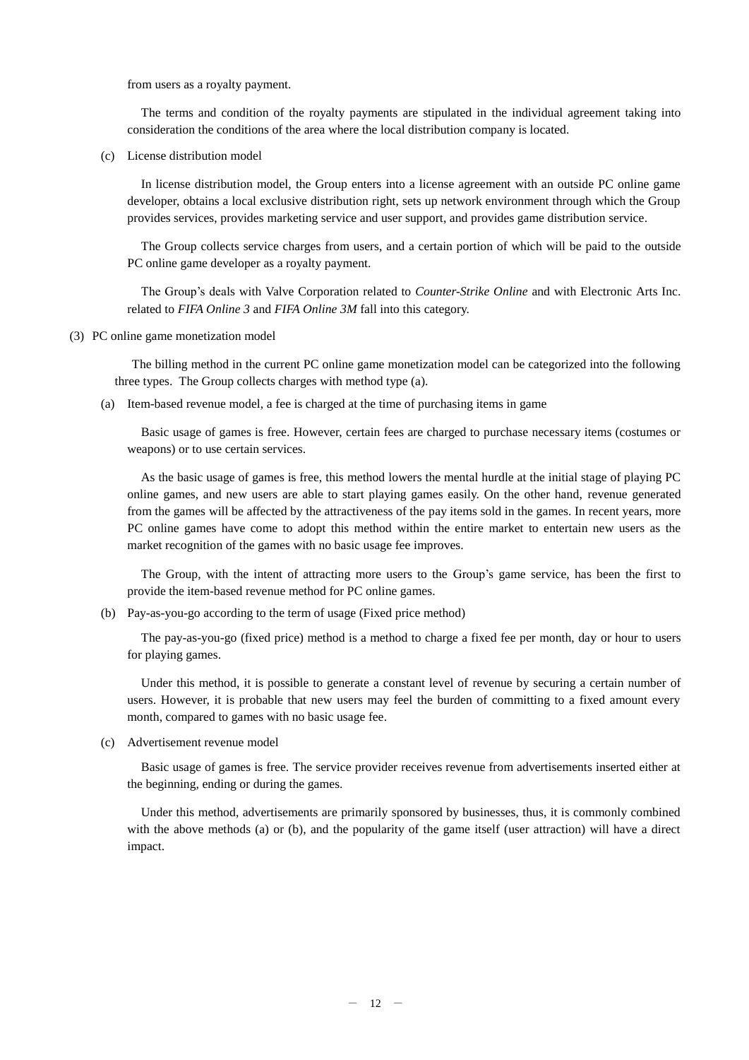from users as a royalty payment.

The terms and condition of the royalty payments are stipulated in the individual agreement taking into consideration the conditions of the area where the local distribution company is located.

(c) License distribution model

In license distribution model, the Group enters into a license agreement with an outside PC online game developer, obtains a local exclusive distribution right, sets up network environment through which the Group provides services, provides marketing service and user support, and provides game distribution service.

The Group collects service charges from users, and a certain portion of which will be paid to the outside PC online game developer as a royalty payment.

The Group's deals with Valve Corporation related to *Counter-Strike Online* and with Electronic Arts Inc. related to *FIFA Online 3* and *FIFA Online 3M* fall into this category.

(3) PC online game monetization model

The billing method in the current PC online game monetization model can be categorized into the following three types. The Group collects charges with method type (a).

(a) Item-based revenue model, a fee is charged at the time of purchasing items in game

Basic usage of games is free. However, certain fees are charged to purchase necessary items (costumes or weapons) or to use certain services.

As the basic usage of games is free, this method lowers the mental hurdle at the initial stage of playing PC online games, and new users are able to start playing games easily. On the other hand, revenue generated from the games will be affected by the attractiveness of the pay items sold in the games. In recent years, more PC online games have come to adopt this method within the entire market to entertain new users as the market recognition of the games with no basic usage fee improves.

The Group, with the intent of attracting more users to the Group's game service, has been the first to provide the item-based revenue method for PC online games.

(b) Pay-as-you-go according to the term of usage (Fixed price method)

The pay-as-you-go (fixed price) method is a method to charge a fixed fee per month, day or hour to users for playing games.

Under this method, it is possible to generate a constant level of revenue by securing a certain number of users. However, it is probable that new users may feel the burden of committing to a fixed amount every month, compared to games with no basic usage fee.

(c) Advertisement revenue model

Basic usage of games is free. The service provider receives revenue from advertisements inserted either at the beginning, ending or during the games.

Under this method, advertisements are primarily sponsored by businesses, thus, it is commonly combined with the above methods (a) or (b), and the popularity of the game itself (user attraction) will have a direct impact.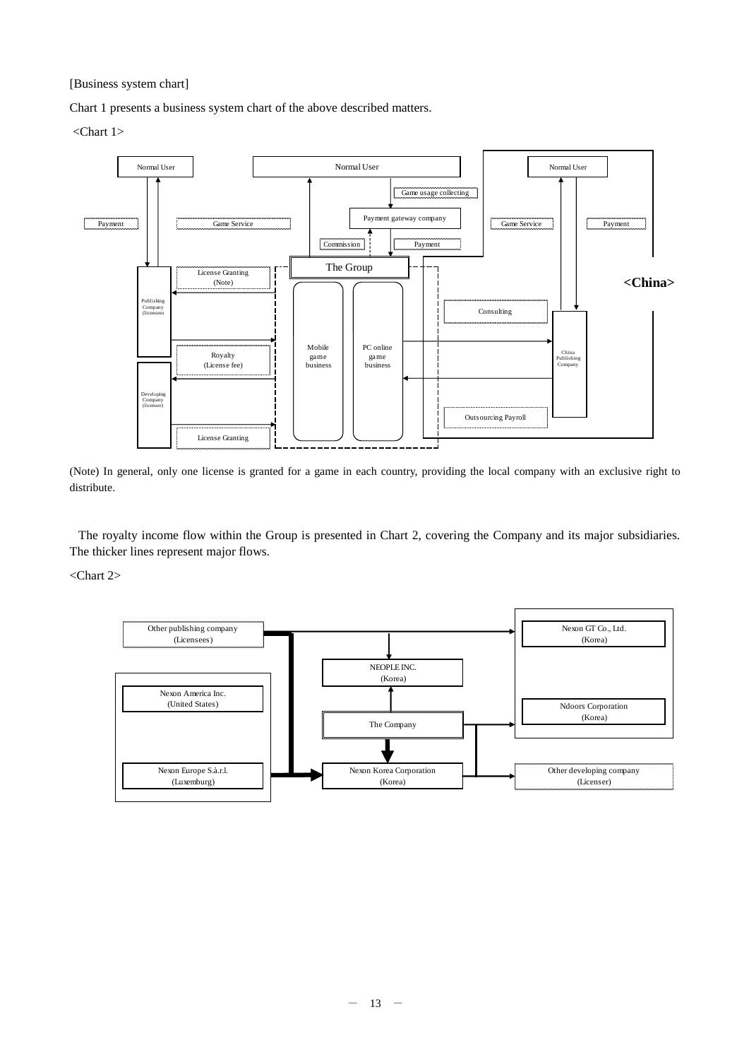[Business system chart]

Chart 1 presents a business system chart of the above described matters.

<Chart 1>



(Note) In general, only one license is granted for a game in each country, providing the local company with an exclusive right to distribute.

The royalty income flow within the Group is presented in Chart 2, covering the Company and its major subsidiaries. The thicker lines represent major flows.

<Chart 2>

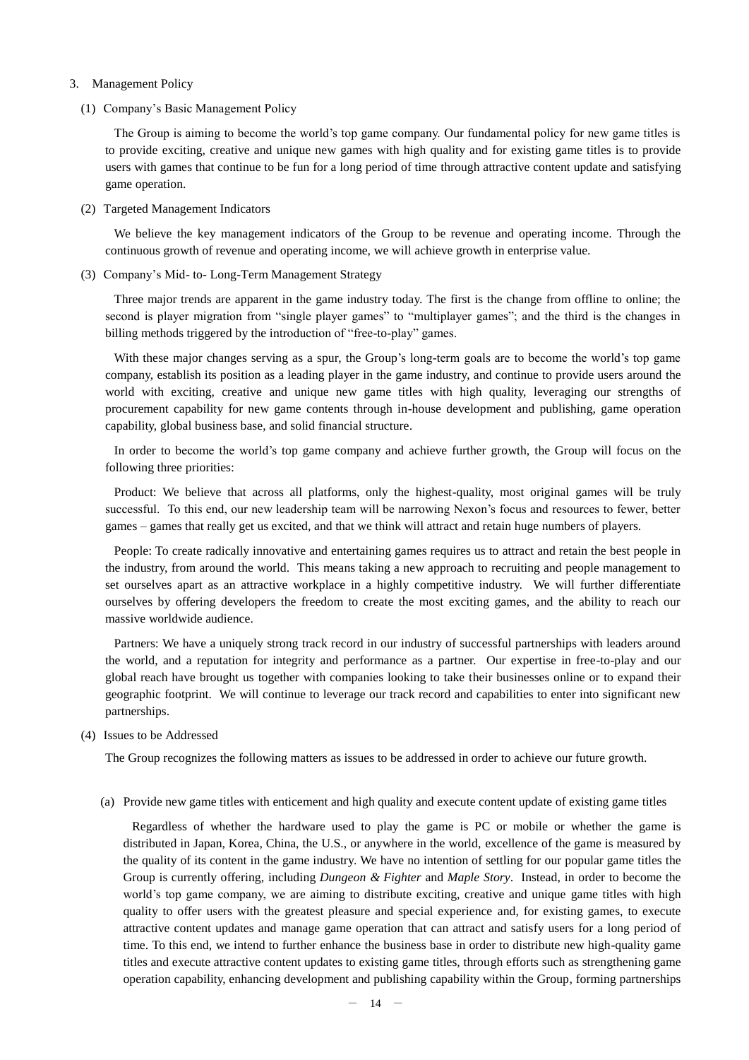- 3. Management Policy
	- (1) Company's Basic Management Policy

The Group is aiming to become the world's top game company. Our fundamental policy for new game titles is to provide exciting, creative and unique new games with high quality and for existing game titles is to provide users with games that continue to be fun for a long period of time through attractive content update and satisfying game operation.

(2) Targeted Management Indicators

We believe the key management indicators of the Group to be revenue and operating income. Through the continuous growth of revenue and operating income, we will achieve growth in enterprise value.

(3) Company's Mid- to- Long-Term Management Strategy

Three major trends are apparent in the game industry today. The first is the change from offline to online; the second is player migration from "single player games" to "multiplayer games"; and the third is the changes in billing methods triggered by the introduction of "free-to-play" games.

With these major changes serving as a spur, the Group's long-term goals are to become the world's top game company, establish its position as a leading player in the game industry, and continue to provide users around the world with exciting, creative and unique new game titles with high quality, leveraging our strengths of procurement capability for new game contents through in-house development and publishing, game operation capability, global business base, and solid financial structure.

In order to become the world's top game company and achieve further growth, the Group will focus on the following three priorities:

Product: We believe that across all platforms, only the highest-quality, most original games will be truly successful. To this end, our new leadership team will be narrowing Nexon's focus and resources to fewer, better games – games that really get us excited, and that we think will attract and retain huge numbers of players.

People: To create radically innovative and entertaining games requires us to attract and retain the best people in the industry, from around the world. This means taking a new approach to recruiting and people management to set ourselves apart as an attractive workplace in a highly competitive industry. We will further differentiate ourselves by offering developers the freedom to create the most exciting games, and the ability to reach our massive worldwide audience.

Partners: We have a uniquely strong track record in our industry of successful partnerships with leaders around the world, and a reputation for integrity and performance as a partner. Our expertise in free-to-play and our global reach have brought us together with companies looking to take their businesses online or to expand their geographic footprint. We will continue to leverage our track record and capabilities to enter into significant new partnerships.

(4) Issues to be Addressed

The Group recognizes the following matters as issues to be addressed in order to achieve our future growth.

(a) Provide new game titles with enticement and high quality and execute content update of existing game titles

Regardless of whether the hardware used to play the game is PC or mobile or whether the game is distributed in Japan, Korea, China, the U.S., or anywhere in the world, excellence of the game is measured by the quality of its content in the game industry. We have no intention of settling for our popular game titles the Group is currently offering, including *Dungeon & Fighter* and *Maple Story*. Instead, in order to become the world's top game company, we are aiming to distribute exciting, creative and unique game titles with high quality to offer users with the greatest pleasure and special experience and, for existing games, to execute attractive content updates and manage game operation that can attract and satisfy users for a long period of time. To this end, we intend to further enhance the business base in order to distribute new high-quality game titles and execute attractive content updates to existing game titles, through efforts such as strengthening game operation capability, enhancing development and publishing capability within the Group, forming partnerships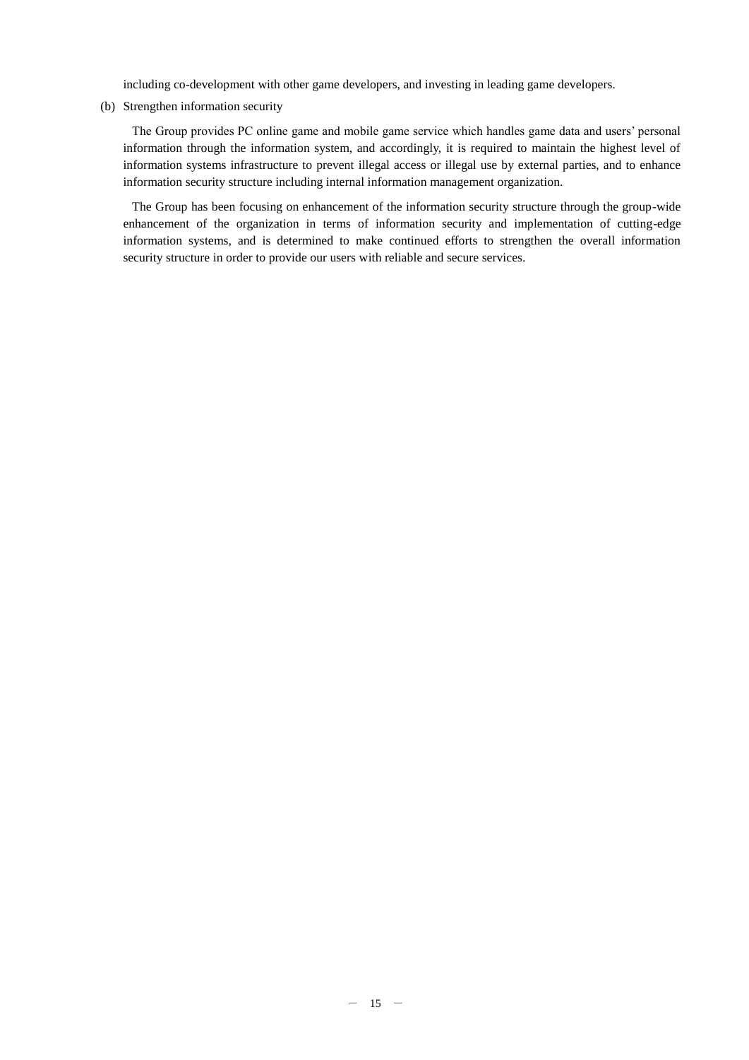including co-development with other game developers, and investing in leading game developers.

(b) Strengthen information security

The Group provides PC online game and mobile game service which handles game data and users' personal information through the information system, and accordingly, it is required to maintain the highest level of information systems infrastructure to prevent illegal access or illegal use by external parties, and to enhance information security structure including internal information management organization.

The Group has been focusing on enhancement of the information security structure through the group-wide enhancement of the organization in terms of information security and implementation of cutting-edge information systems, and is determined to make continued efforts to strengthen the overall information security structure in order to provide our users with reliable and secure services.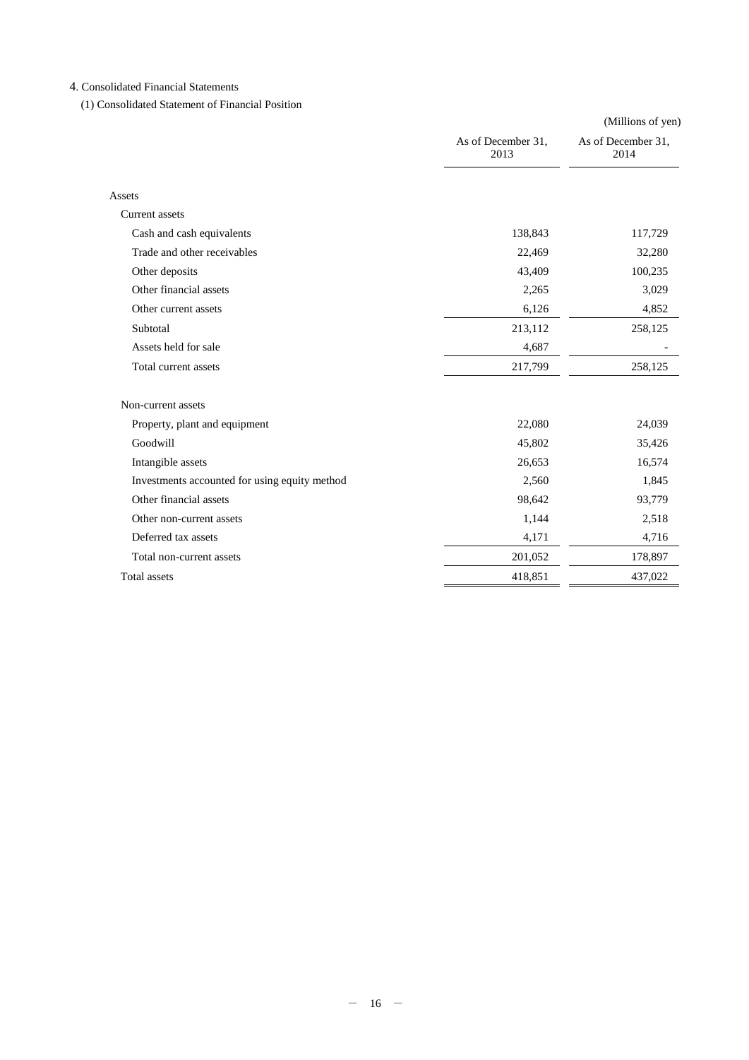# 4. Consolidated Financial Statements

(1) Consolidated Statement of Financial Position

|                                               |                            | (Millions of yen)          |
|-----------------------------------------------|----------------------------|----------------------------|
|                                               | As of December 31,<br>2013 | As of December 31,<br>2014 |
| Assets                                        |                            |                            |
| Current assets                                |                            |                            |
| Cash and cash equivalents                     | 138,843                    | 117,729                    |
| Trade and other receivables                   | 22,469                     | 32,280                     |
| Other deposits                                | 43,409                     | 100,235                    |
| Other financial assets                        | 2,265                      | 3,029                      |
| Other current assets                          | 6,126                      | 4,852                      |
| Subtotal                                      | 213,112                    | 258,125                    |
| Assets held for sale                          | 4,687                      |                            |
| Total current assets                          | 217,799                    | 258,125                    |
| Non-current assets                            |                            |                            |
| Property, plant and equipment                 | 22,080                     | 24,039                     |
| Goodwill                                      | 45,802                     | 35,426                     |
| Intangible assets                             | 26,653                     | 16,574                     |
| Investments accounted for using equity method | 2,560                      | 1,845                      |
| Other financial assets                        | 98,642                     | 93,779                     |
| Other non-current assets                      | 1,144                      | 2,518                      |
| Deferred tax assets                           | 4,171                      | 4,716                      |
| Total non-current assets                      | 201,052                    | 178,897                    |
| <b>Total</b> assets                           | 418,851                    | 437,022                    |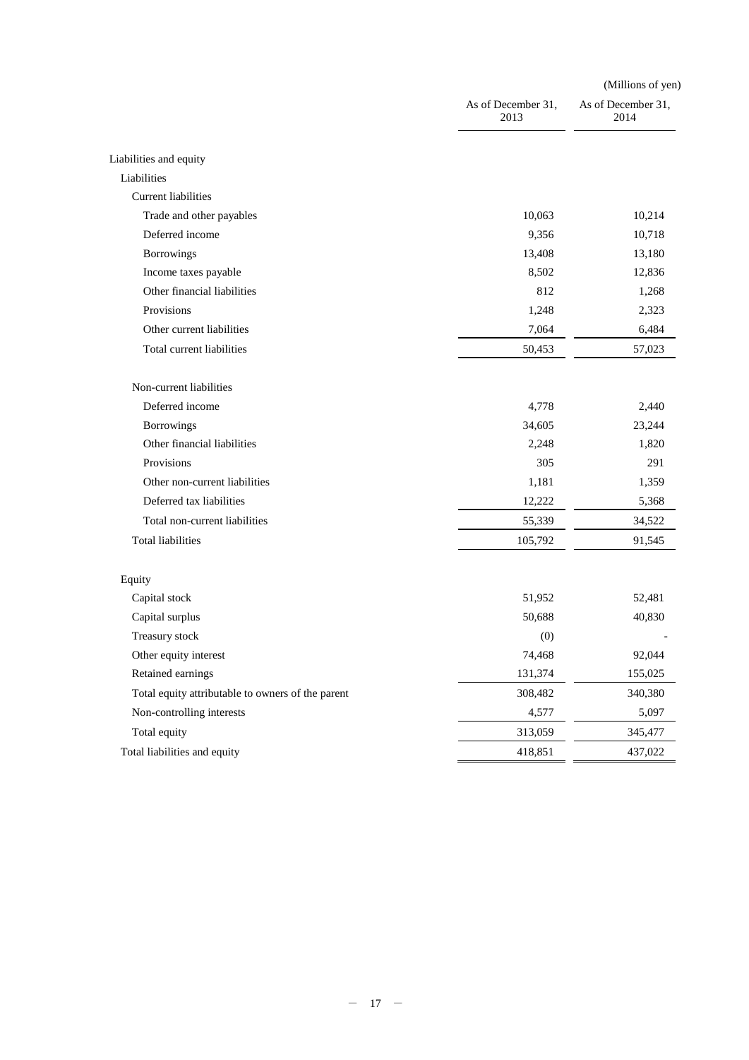|                                                   |                            | (Millions of yen)          |  |  |
|---------------------------------------------------|----------------------------|----------------------------|--|--|
|                                                   | As of December 31,<br>2013 | As of December 31,<br>2014 |  |  |
| Liabilities and equity                            |                            |                            |  |  |
| Liabilities                                       |                            |                            |  |  |
| <b>Current liabilities</b>                        |                            |                            |  |  |
| Trade and other payables                          | 10,063                     | 10,214                     |  |  |
| Deferred income                                   | 9,356                      | 10,718                     |  |  |
| Borrowings                                        | 13,408                     | 13,180                     |  |  |
| Income taxes payable                              | 8,502                      | 12,836                     |  |  |
| Other financial liabilities                       | 812                        | 1,268                      |  |  |
| Provisions                                        | 1,248                      | 2,323                      |  |  |
| Other current liabilities                         | 7,064                      | 6,484                      |  |  |
| Total current liabilities                         | 50,453                     | 57,023                     |  |  |
| Non-current liabilities                           |                            |                            |  |  |
| Deferred income                                   | 4,778                      | 2,440                      |  |  |
| Borrowings                                        | 34,605                     | 23,244                     |  |  |
| Other financial liabilities                       | 2,248                      | 1,820                      |  |  |
| Provisions                                        | 305                        | 291                        |  |  |
| Other non-current liabilities                     | 1,181                      | 1,359                      |  |  |
| Deferred tax liabilities                          | 12,222                     | 5,368                      |  |  |
| Total non-current liabilities                     | 55,339                     | 34,522                     |  |  |
| <b>Total liabilities</b>                          | 105,792                    | 91,545                     |  |  |
| Equity                                            |                            |                            |  |  |
| Capital stock                                     | 51,952                     | 52,481                     |  |  |
| Capital surplus                                   | 50,688                     | 40,830                     |  |  |
| Treasury stock                                    | (0)                        |                            |  |  |
| Other equity interest                             | 74,468                     | 92,044                     |  |  |
| Retained earnings                                 | 131,374                    | 155,025                    |  |  |
| Total equity attributable to owners of the parent | 308,482                    | 340,380                    |  |  |
| Non-controlling interests                         | 4,577                      | 5,097                      |  |  |
| Total equity                                      | 313,059                    | 345,477                    |  |  |
| Total liabilities and equity                      | 418,851                    | 437,022                    |  |  |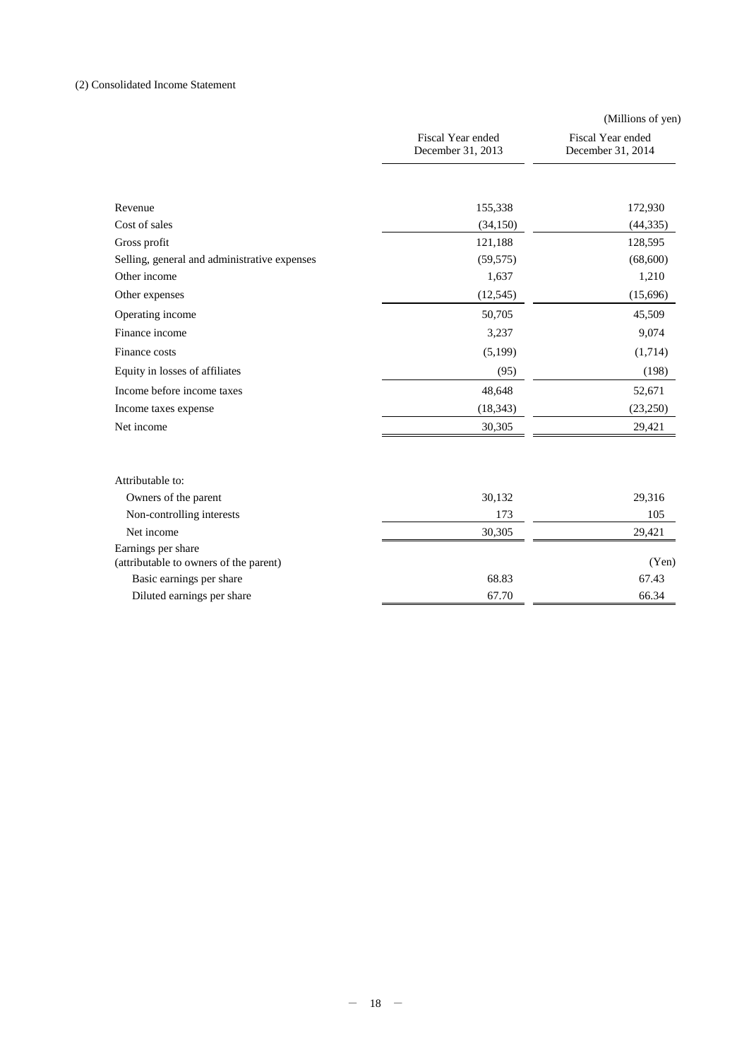## (2) Consolidated Income Statement

|                                                              |                                        | (Millions of yen)                      |
|--------------------------------------------------------------|----------------------------------------|----------------------------------------|
|                                                              | Fiscal Year ended<br>December 31, 2013 | Fiscal Year ended<br>December 31, 2014 |
|                                                              |                                        |                                        |
| Revenue                                                      | 155,338                                | 172,930                                |
| Cost of sales                                                | (34, 150)                              | (44, 335)                              |
| Gross profit                                                 | 121,188                                | 128,595                                |
| Selling, general and administrative expenses                 | (59, 575)                              | (68,600)                               |
| Other income                                                 | 1,637                                  | 1,210                                  |
| Other expenses                                               | (12, 545)                              | (15,696)                               |
| Operating income                                             | 50,705                                 | 45,509                                 |
| Finance income                                               | 3,237                                  | 9,074                                  |
| Finance costs                                                | (5,199)                                | (1,714)                                |
| Equity in losses of affiliates                               | (95)                                   | (198)                                  |
| Income before income taxes                                   | 48,648                                 | 52,671                                 |
| Income taxes expense                                         | (18, 343)                              | (23,250)                               |
| Net income                                                   | 30,305                                 | 29,421                                 |
|                                                              |                                        |                                        |
| Attributable to:                                             |                                        |                                        |
| Owners of the parent                                         | 30,132                                 | 29,316                                 |
| Non-controlling interests                                    | 173                                    | 105                                    |
| Net income                                                   | 30,305                                 | 29,421                                 |
| Earnings per share<br>(attributable to owners of the parent) |                                        | (Yen)                                  |
| Basic earnings per share                                     | 68.83                                  | 67.43                                  |
| Diluted earnings per share                                   | 67.70                                  | 66.34                                  |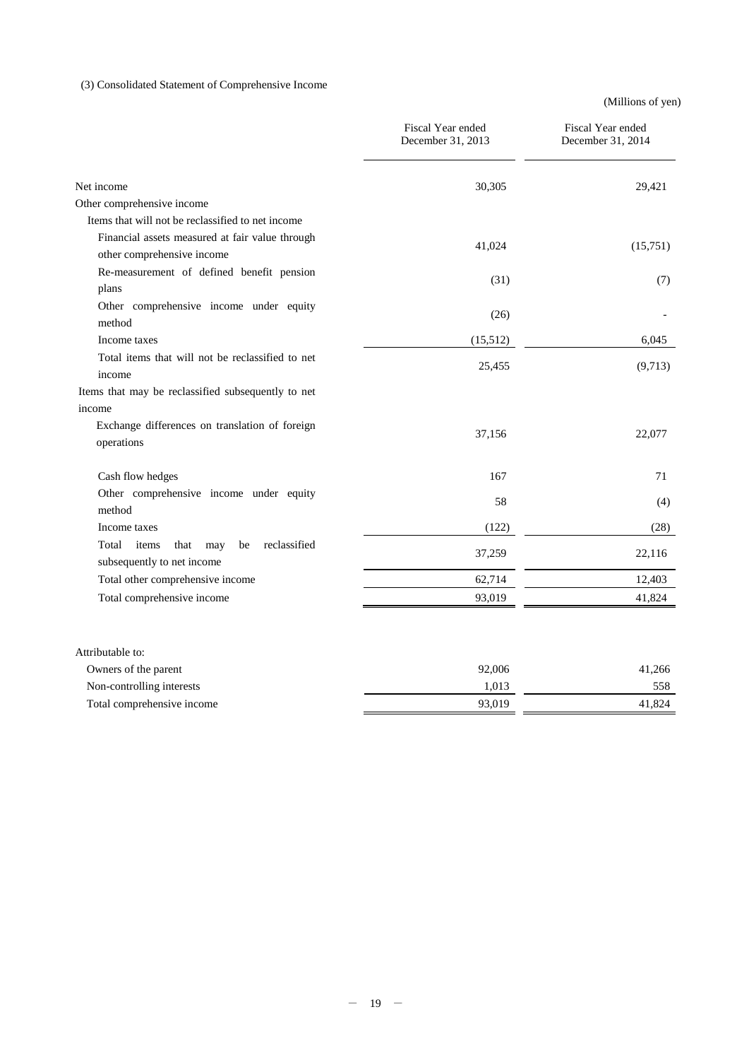# (3) Consolidated Statement of Comprehensive Income

(Millions of yen)

|                                                                                                                                    | Fiscal Year ended<br>December 31, 2013 | Fiscal Year ended<br>December 31, 2014 |
|------------------------------------------------------------------------------------------------------------------------------------|----------------------------------------|----------------------------------------|
| Net income                                                                                                                         | 30,305                                 | 29,421                                 |
| Other comprehensive income                                                                                                         |                                        |                                        |
| Items that will not be reclassified to net income<br>Financial assets measured at fair value through<br>other comprehensive income | 41,024                                 | (15,751)                               |
| Re-measurement of defined benefit pension<br>plans                                                                                 | (31)                                   | (7)                                    |
| Other comprehensive income under equity<br>method                                                                                  | (26)                                   |                                        |
| Income taxes                                                                                                                       | (15,512)                               | 6,045                                  |
| Total items that will not be reclassified to net<br>income                                                                         | 25,455                                 | (9,713)                                |
| Items that may be reclassified subsequently to net                                                                                 |                                        |                                        |
| income                                                                                                                             |                                        |                                        |
| Exchange differences on translation of foreign<br>operations                                                                       | 37,156                                 | 22,077                                 |
| Cash flow hedges                                                                                                                   | 167                                    | 71                                     |
| Other comprehensive income under equity<br>method                                                                                  | 58                                     | (4)                                    |
| Income taxes                                                                                                                       | (122)                                  | (28)                                   |
| items<br>reclassified<br>Total<br>that<br>may<br>be<br>subsequently to net income                                                  | 37,259                                 | 22,116                                 |
| Total other comprehensive income                                                                                                   | 62,714                                 | 12,403                                 |
| Total comprehensive income                                                                                                         | 93,019                                 | 41,824                                 |
| Attributable to:                                                                                                                   |                                        |                                        |
| Owners of the parent                                                                                                               | 92,006                                 | 41,266                                 |
| Non-controlling interests                                                                                                          | 1.013                                  | 558                                    |

Total comprehensive income 93,019 41,824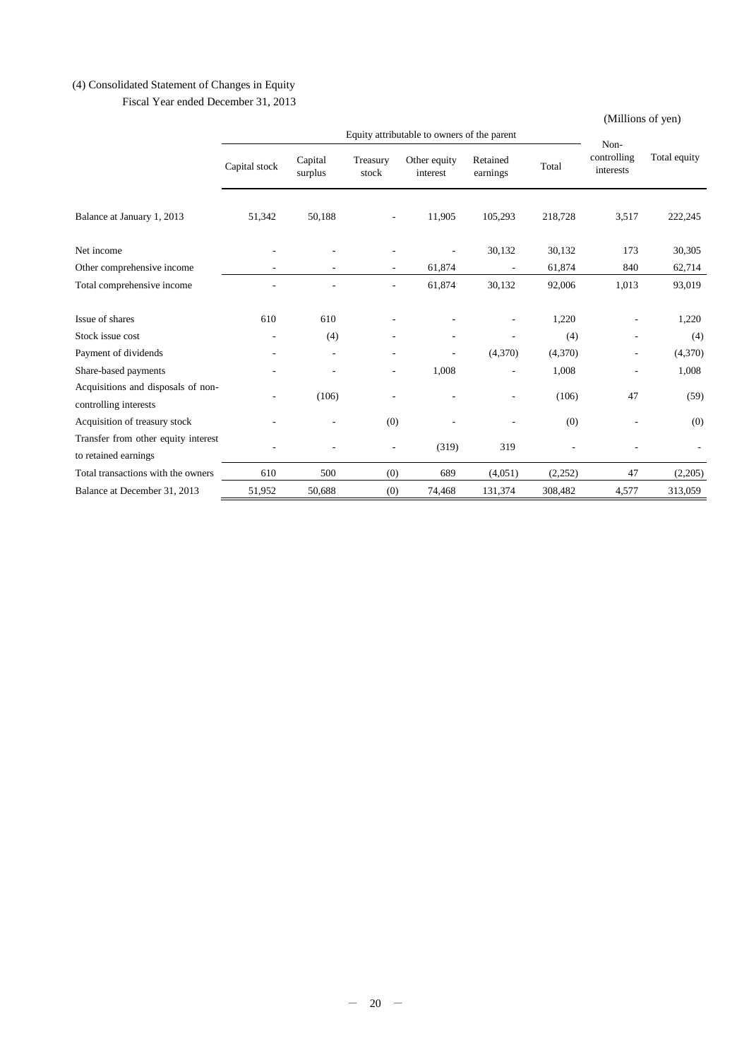# (4) Consolidated Statement of Changes in Equity

Fiscal Year ended December 31, 2013

(Millions of yen)

|                                                             |               |                          | Non-              |                          |                      |         |                          |              |
|-------------------------------------------------------------|---------------|--------------------------|-------------------|--------------------------|----------------------|---------|--------------------------|--------------|
|                                                             | Capital stock | Capital<br>surplus       | Treasury<br>stock | Other equity<br>interest | Retained<br>earnings | Total   | controlling<br>interests | Total equity |
| Balance at January 1, 2013                                  | 51,342        | 50,188                   | ٠                 | 11,905                   | 105,293              | 218,728 | 3,517                    | 222,245      |
| Net income                                                  |               |                          |                   |                          | 30,132               | 30,132  | 173                      | 30,305       |
| Other comprehensive income                                  |               |                          |                   | 61,874                   |                      | 61,874  | 840                      | 62,714       |
| Total comprehensive income                                  |               |                          |                   | 61,874                   | 30,132               | 92,006  | 1,013                    | 93,019       |
| Issue of shares                                             | 610           | 610                      |                   |                          |                      | 1,220   |                          | 1,220        |
| Stock issue cost                                            |               | (4)                      |                   |                          |                      | (4)     | $\overline{a}$           | (4)          |
| Payment of dividends                                        |               | $\overline{\phantom{a}}$ |                   |                          | (4,370)              | (4,370) | $\overline{a}$           | (4,370)      |
| Share-based payments                                        |               |                          |                   | 1,008                    |                      | 1,008   |                          | 1,008        |
| Acquisitions and disposals of non-<br>controlling interests |               | (106)                    |                   |                          |                      | (106)   | 47                       | (59)         |
| Acquisition of treasury stock                               |               |                          | (0)               |                          |                      | (0)     |                          | (0)          |
| Transfer from other equity interest<br>to retained earnings |               |                          |                   | (319)                    | 319                  |         |                          |              |
| Total transactions with the owners                          | 610           | 500                      | (0)               | 689                      | (4,051)              | (2,252) | 47                       | (2,205)      |
| Balance at December 31, 2013                                | 51,952        | 50,688                   | (0)               | 74,468                   | 131,374              | 308,482 | 4,577                    | 313,059      |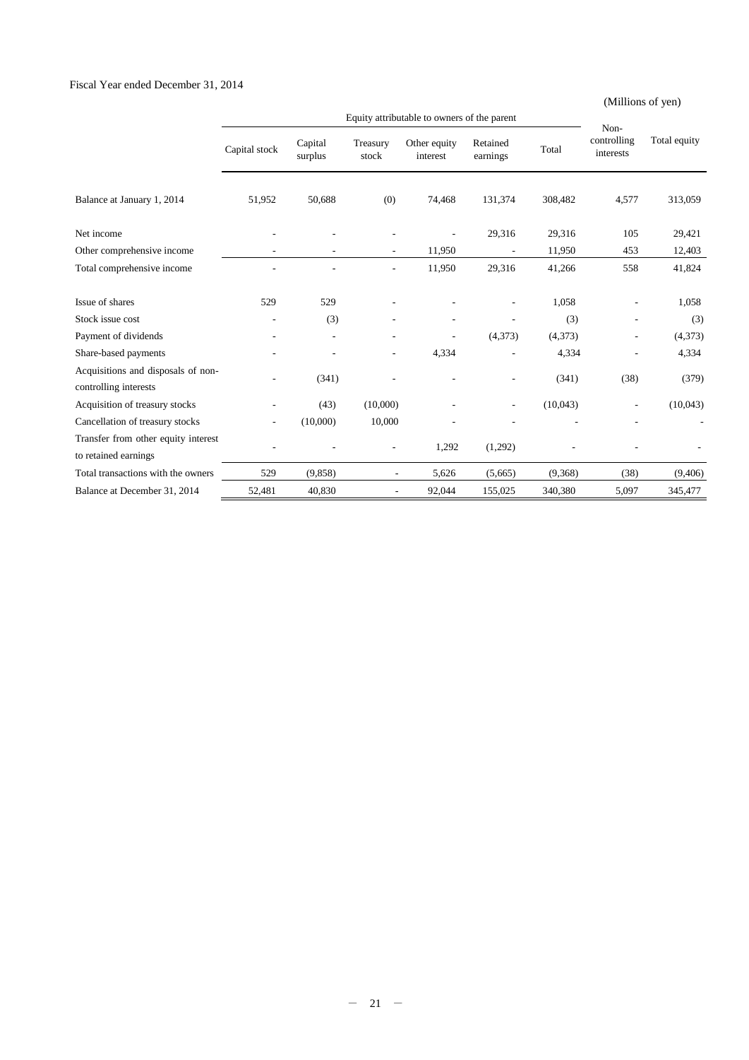## Fiscal Year ended December 31, 2014

## (Millions of yen)

|                                                             |                |                    |                          | Equity attributable to owners of the parent |                          |          | Non-                     |              |
|-------------------------------------------------------------|----------------|--------------------|--------------------------|---------------------------------------------|--------------------------|----------|--------------------------|--------------|
|                                                             | Capital stock  | Capital<br>surplus | Treasury<br>stock        | Other equity<br>interest                    | Retained<br>earnings     | Total    | controlling<br>interests | Total equity |
| Balance at January 1, 2014                                  | 51,952         | 50,688             | (0)                      | 74,468                                      | 131,374                  | 308,482  | 4,577                    | 313,059      |
| Net income                                                  |                |                    |                          |                                             | 29,316                   | 29,316   | 105                      | 29,421       |
| Other comprehensive income                                  |                |                    |                          | 11,950                                      |                          | 11,950   | 453                      | 12,403       |
| Total comprehensive income                                  |                |                    |                          | 11,950                                      | 29,316                   | 41,266   | 558                      | 41,824       |
| Issue of shares                                             | 529            | 529                |                          |                                             |                          | 1,058    |                          | 1,058        |
| Stock issue cost                                            |                | (3)                |                          |                                             |                          | (3)      |                          | (3)          |
| Payment of dividends                                        |                |                    |                          |                                             | (4,373)                  | (4,373)  |                          | (4,373)      |
| Share-based payments                                        |                |                    | ٠                        | 4,334                                       |                          | 4,334    |                          | 4,334        |
| Acquisitions and disposals of non-<br>controlling interests |                | (341)              |                          |                                             |                          | (341)    | (38)                     | (379)        |
| Acquisition of treasury stocks                              |                | (43)               | (10,000)                 |                                             | $\overline{\phantom{a}}$ | (10,043) | ۰                        | (10,043)     |
| Cancellation of treasury stocks                             | $\overline{a}$ | (10,000)           | 10,000                   |                                             |                          |          |                          |              |
| Transfer from other equity interest<br>to retained earnings |                |                    |                          | 1,292                                       | (1,292)                  |          |                          |              |
| Total transactions with the owners                          | 529            | (9,858)            | $\overline{\phantom{a}}$ | 5,626                                       | (5,665)                  | (9,368)  | (38)                     | (9,406)      |
| Balance at December 31, 2014                                | 52,481         | 40,830             | ÷,                       | 92,044                                      | 155,025                  | 340,380  | 5,097                    | 345,477      |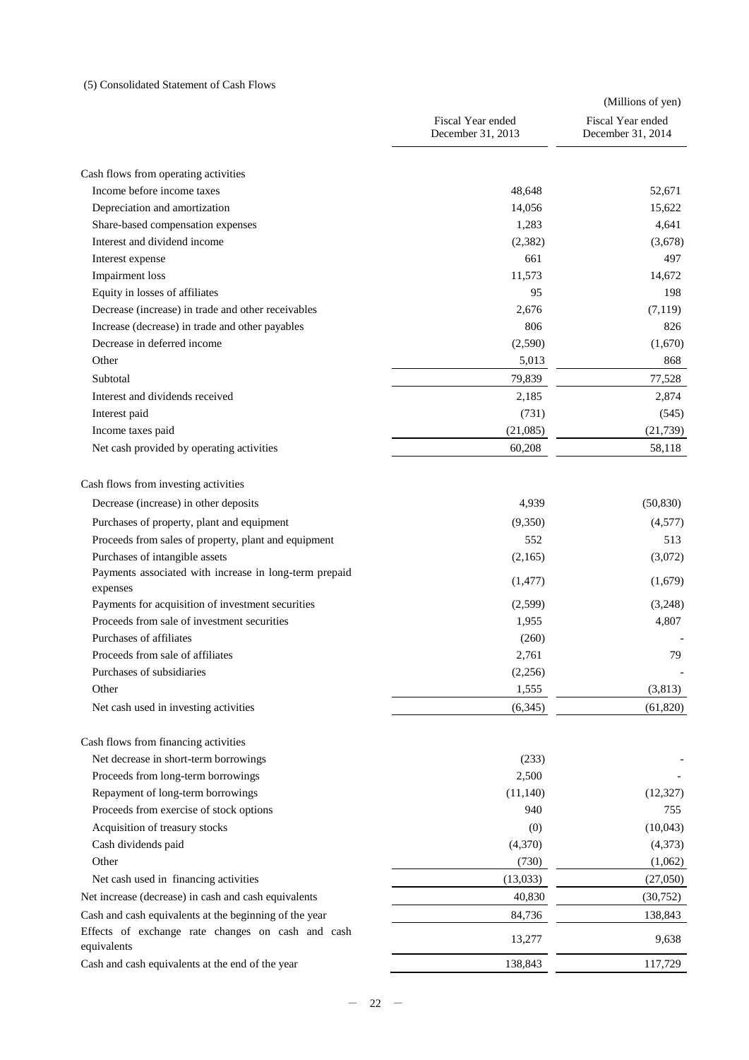## (5) Consolidated Statement of Cash Flows

|                                                                    |                                        | (Millions of yen)                      |
|--------------------------------------------------------------------|----------------------------------------|----------------------------------------|
|                                                                    | Fiscal Year ended<br>December 31, 2013 | Fiscal Year ended<br>December 31, 2014 |
|                                                                    |                                        |                                        |
| Cash flows from operating activities<br>Income before income taxes |                                        | 52,671                                 |
|                                                                    | 48,648                                 |                                        |
| Depreciation and amortization                                      | 14,056                                 | 15,622                                 |
| Share-based compensation expenses<br>Interest and dividend income  | 1,283                                  | 4,641                                  |
|                                                                    | (2,382)                                | (3,678)                                |
| Interest expense                                                   | 661                                    | 497                                    |
| <b>Impairment</b> loss                                             | 11,573                                 | 14,672                                 |
| Equity in losses of affiliates                                     | 95                                     | 198                                    |
| Decrease (increase) in trade and other receivables                 | 2,676                                  | (7,119)                                |
| Increase (decrease) in trade and other payables                    | 806                                    | 826                                    |
| Decrease in deferred income                                        | (2,590)                                | (1,670)                                |
| Other                                                              | 5,013                                  | 868                                    |
| Subtotal                                                           | 79,839                                 | 77,528                                 |
| Interest and dividends received                                    | 2,185                                  | 2,874                                  |
| Interest paid                                                      | (731)                                  | (545)                                  |
| Income taxes paid                                                  | (21,085)                               | (21, 739)                              |
| Net cash provided by operating activities                          | 60,208                                 | 58,118                                 |
| Cash flows from investing activities                               |                                        |                                        |
| Decrease (increase) in other deposits                              | 4,939                                  | (50, 830)                              |
| Purchases of property, plant and equipment                         | (9,350)                                | (4,577)                                |
| Proceeds from sales of property, plant and equipment               | 552                                    | 513                                    |
| Purchases of intangible assets                                     | (2,165)                                | (3,072)                                |
| Payments associated with increase in long-term prepaid             |                                        |                                        |
| expenses                                                           | (1,477)                                | (1,679)                                |
| Payments for acquisition of investment securities                  | (2,599)                                | (3,248)                                |
| Proceeds from sale of investment securities                        | 1,955                                  | 4,807                                  |
| Purchases of affiliates                                            | (260)                                  |                                        |
| Proceeds from sale of affiliates                                   | 2,761                                  | 79                                     |
| Purchases of subsidiaries                                          | (2,256)                                |                                        |
| Other                                                              | 1,555                                  | (3,813)                                |
| Net cash used in investing activities                              | (6,345)                                | (61, 820)                              |
| Cash flows from financing activities                               |                                        |                                        |
| Net decrease in short-term borrowings                              | (233)                                  |                                        |
| Proceeds from long-term borrowings                                 | 2,500                                  |                                        |
| Repayment of long-term borrowings                                  | (11,140)                               | (12, 327)                              |
| Proceeds from exercise of stock options                            | 940                                    | 755                                    |
| Acquisition of treasury stocks                                     | (0)                                    | (10,043)                               |
| Cash dividends paid                                                | (4,370)                                | (4,373)                                |
| Other                                                              | (730)                                  | (1,062)                                |
|                                                                    |                                        |                                        |
| Net cash used in financing activities                              | (13,033)                               | (27,050)                               |
| Net increase (decrease) in cash and cash equivalents               | 40,830                                 | (30,752)                               |
| Cash and cash equivalents at the beginning of the year             | 84,736                                 | 138,843                                |
| Effects of exchange rate changes on cash and cash<br>equivalents   | 13,277                                 | 9,638                                  |
| Cash and cash equivalents at the end of the year                   | 138,843                                | 117,729                                |
|                                                                    |                                        |                                        |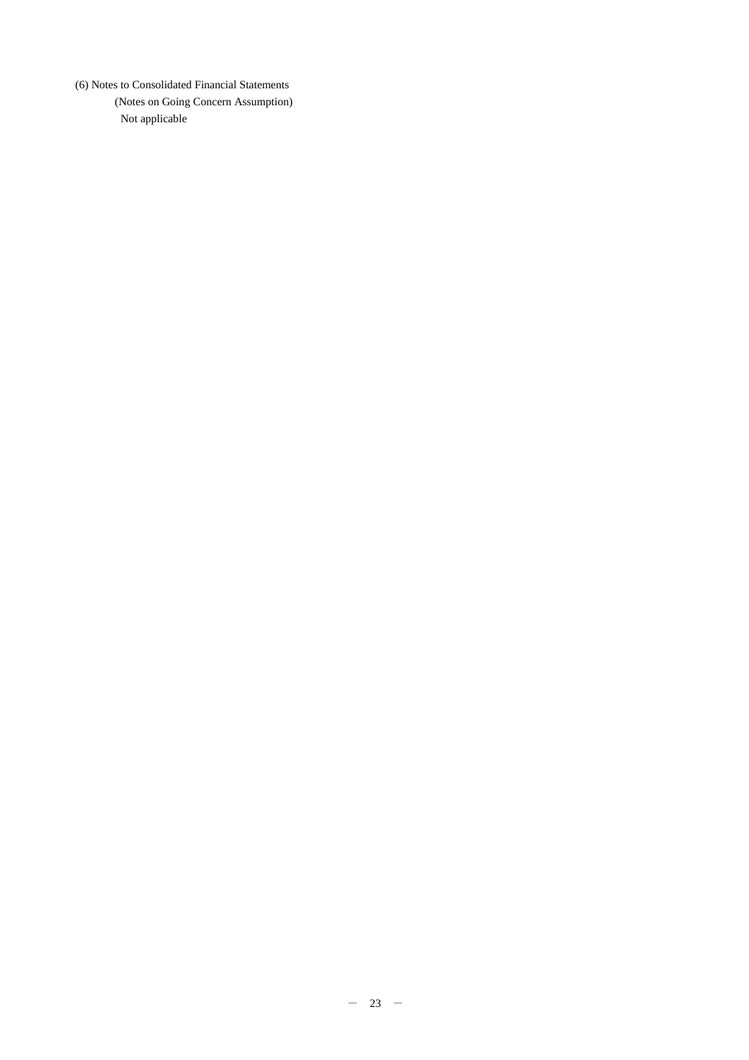(6) Notes to Consolidated Financial Statements

(Notes on Going Concern Assumption) Not applicable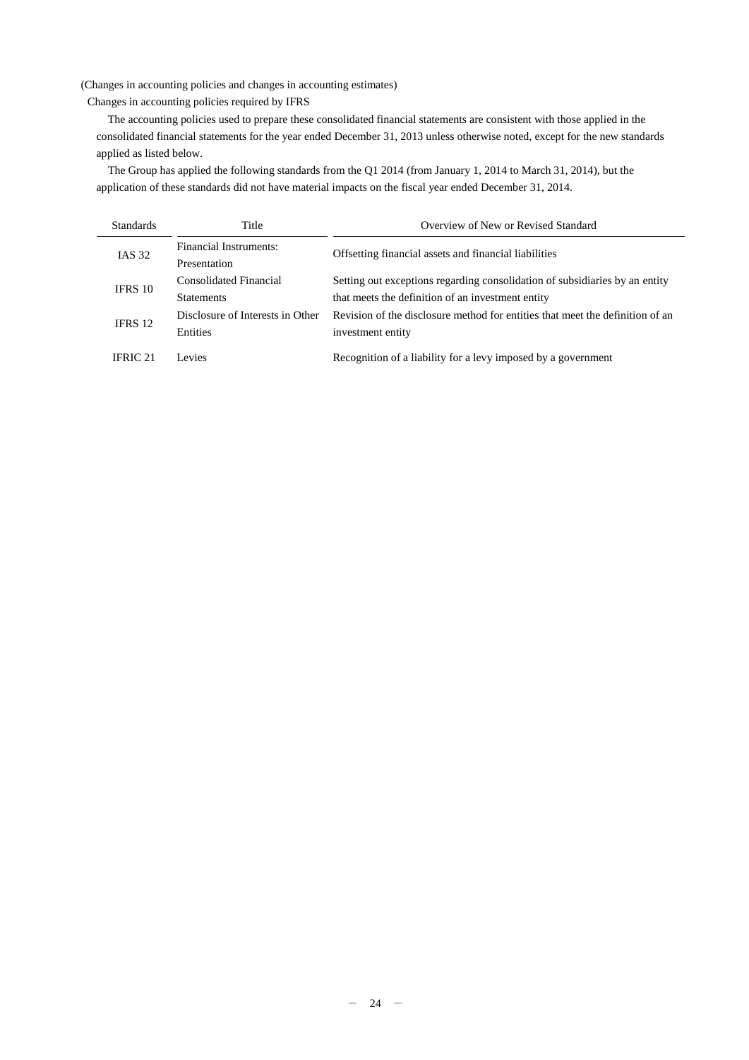(Changes in accounting policies and changes in accounting estimates)

Changes in accounting policies required by IFRS

The accounting policies used to prepare these consolidated financial statements are consistent with those applied in the consolidated financial statements for the year ended December 31, 2013 unless otherwise noted, except for the new standards applied as listed below.

The Group has applied the following standards from the Q1 2014 (from January 1, 2014 to March 31, 2014), but the application of these standards did not have material impacts on the fiscal year ended December 31, 2014.

| <b>Standards</b> | Title                                        | Overview of New or Revised Standard                                                                                              |
|------------------|----------------------------------------------|----------------------------------------------------------------------------------------------------------------------------------|
| <b>IAS 32</b>    | Financial Instruments:<br>Presentation       | Offsetting financial assets and financial liabilities                                                                            |
| IFRS 10          | Consolidated Financial<br><b>Statements</b>  | Setting out exceptions regarding consolidation of subsidiaries by an entity<br>that meets the definition of an investment entity |
| IFRS 12          | Disclosure of Interests in Other<br>Entities | Revision of the disclosure method for entities that meet the definition of an<br>investment entity                               |
| IFRIC 21         | Levies                                       | Recognition of a liability for a levy imposed by a government                                                                    |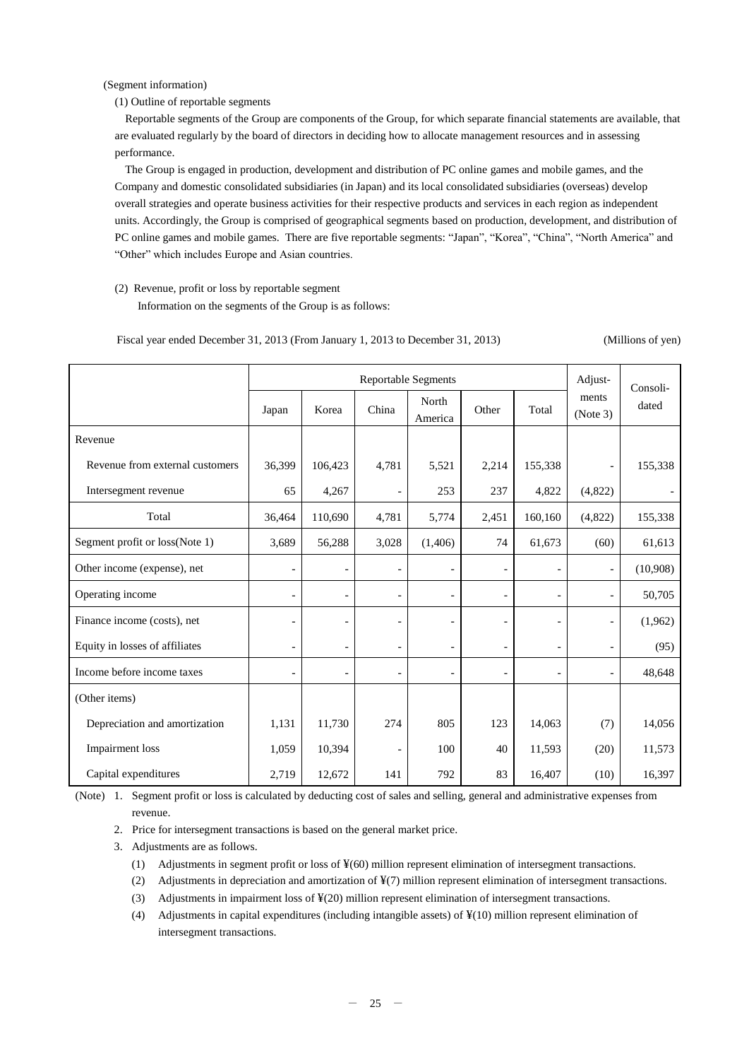(Segment information)

(1) Outline of reportable segments

Reportable segments of the Group are components of the Group, for which separate financial statements are available, that are evaluated regularly by the board of directors in deciding how to allocate management resources and in assessing performance.

The Group is engaged in production, development and distribution of PC online games and mobile games, and the Company and domestic consolidated subsidiaries (in Japan) and its local consolidated subsidiaries (overseas) develop overall strategies and operate business activities for their respective products and services in each region as independent units. Accordingly, the Group is comprised of geographical segments based on production, development, and distribution of PC online games and mobile games. There are five reportable segments: "Japan", "Korea", "China", "North America" and "Other" which includes Europe and Asian countries.

# (2) Revenue, profit or loss by reportable segment

Information on the segments of the Group is as follows:

Fiscal year ended December 31, 2013 (From January 1, 2013 to December 31, 2013) (Millions of yen)

|                                 | <b>Reportable Segments</b> |                |                          |                          |                          |                          |                          | Consoli- |
|---------------------------------|----------------------------|----------------|--------------------------|--------------------------|--------------------------|--------------------------|--------------------------|----------|
|                                 | Japan                      | Korea          | China                    | North<br>America         | Other                    | Total                    | ments<br>(Note 3)        | dated    |
| Revenue                         |                            |                |                          |                          |                          |                          |                          |          |
| Revenue from external customers | 36,399                     | 106,423        | 4,781                    | 5,521                    | 2,214                    | 155,338                  | $\overline{a}$           | 155,338  |
| Intersegment revenue            | 65                         | 4,267          | $\overline{\phantom{a}}$ | 253                      | 237                      | 4,822                    | (4,822)                  |          |
| Total                           | 36,464                     | 110,690        | 4,781                    | 5,774                    | 2,451                    | 160,160                  | (4,822)                  | 155,338  |
| Segment profit or loss(Note 1)  | 3,689                      | 56,288         | 3,028                    | (1,406)                  | 74                       | 61,673                   | (60)                     | 61,613   |
| Other income (expense), net     | $\overline{\phantom{0}}$   |                | $\overline{\phantom{a}}$ |                          | $\overline{\phantom{a}}$ |                          | $\blacksquare$           | (10,908) |
| Operating income                |                            |                | $\overline{\phantom{0}}$ | $\overline{\phantom{a}}$ | $\overline{a}$           |                          | $\overline{\phantom{a}}$ | 50,705   |
| Finance income (costs), net     |                            |                | $\overline{a}$           |                          | $\overline{a}$           |                          | $\overline{\phantom{a}}$ | (1,962)  |
| Equity in losses of affiliates  | $\overline{a}$             | $\overline{a}$ | $\blacksquare$           | $\overline{a}$           | $\overline{\phantom{a}}$ | $\overline{\phantom{a}}$ | $\overline{\phantom{a}}$ | (95)     |
| Income before income taxes      |                            |                | $\overline{a}$           | L,                       | $\overline{\phantom{a}}$ |                          | $\overline{\phantom{a}}$ | 48,648   |
| (Other items)                   |                            |                |                          |                          |                          |                          |                          |          |
| Depreciation and amortization   | 1,131                      | 11,730         | 274                      | 805                      | 123                      | 14,063                   | (7)                      | 14,056   |
| Impairment loss                 | 1,059                      | 10,394         | $\overline{\phantom{0}}$ | 100                      | 40                       | 11,593                   | (20)                     | 11,573   |
| Capital expenditures            | 2,719                      | 12,672         | 141                      | 792                      | 83                       | 16,407                   | (10)                     | 16,397   |

 (Note) 1. Segment profit or loss is calculated by deducting cost of sales and selling, general and administrative expenses from revenue.

2. Price for intersegment transactions is based on the general market price.

3. Adjustments are as follows.

- (1) Adjustments in segment profit or loss of ¥(60) million represent elimination of intersegment transactions.
- (2) Adjustments in depreciation and amortization of ¥(7) million represent elimination of intersegment transactions.
- (3) Adjustments in impairment loss of ¥(20) million represent elimination of intersegment transactions.
- (4) Adjustments in capital expenditures (including intangible assets) of  $\frac{1}{2}(10)$  million represent elimination of intersegment transactions.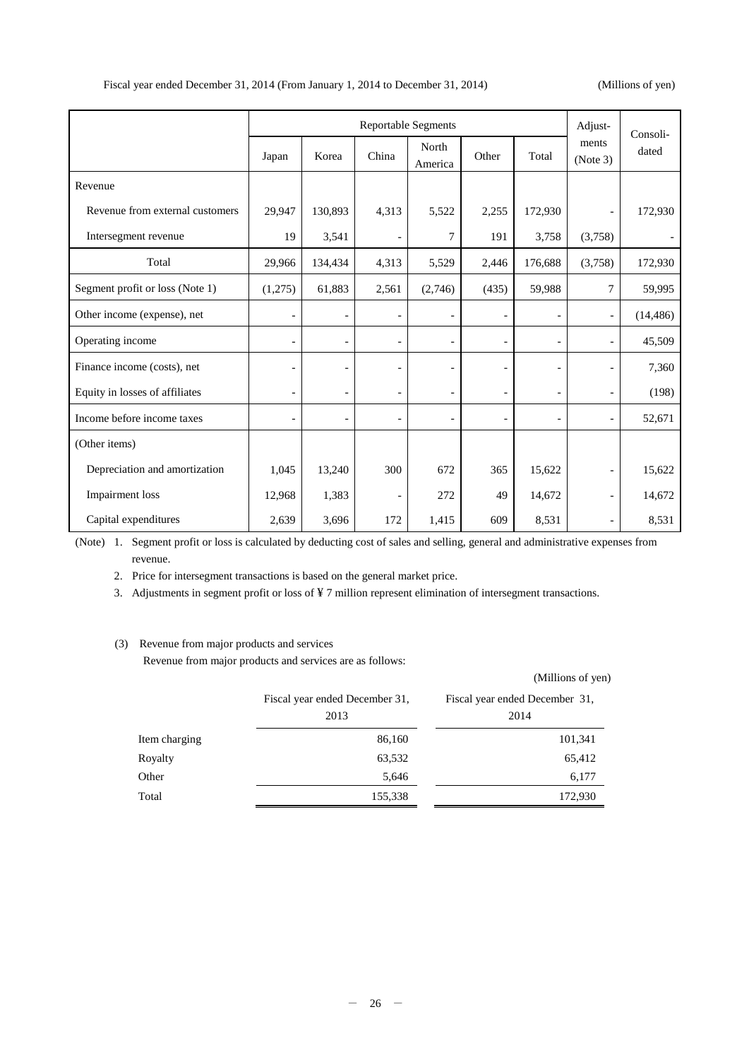(Millions of yen)

|                                 | <b>Reportable Segments</b> |         |                          |                  | Adjust-                  | Consoli-                 |                          |           |
|---------------------------------|----------------------------|---------|--------------------------|------------------|--------------------------|--------------------------|--------------------------|-----------|
|                                 | Japan                      | Korea   | China                    | North<br>America | Other                    | Total                    | ments<br>(Note 3)        | dated     |
| Revenue                         |                            |         |                          |                  |                          |                          |                          |           |
| Revenue from external customers | 29,947                     | 130,893 | 4,313                    | 5,522            | 2,255                    | 172,930                  | $\overline{\phantom{a}}$ | 172,930   |
| Intersegment revenue            | 19                         | 3,541   | $\overline{\phantom{a}}$ | $\tau$           | 191                      | 3,758                    | (3,758)                  |           |
| Total                           | 29,966                     | 134,434 | 4,313                    | 5,529            | 2,446                    | 176,688                  | (3,758)                  | 172,930   |
| Segment profit or loss (Note 1) | (1,275)                    | 61,883  | 2,561                    | (2,746)          | (435)                    | 59,988                   | 7                        | 59,995    |
| Other income (expense), net     | $\overline{a}$             |         | $\overline{\phantom{a}}$ |                  | $\blacksquare$           |                          | $\overline{\phantom{a}}$ | (14, 486) |
| Operating income                | $\overline{\phantom{0}}$   |         | $\overline{\phantom{a}}$ |                  | $\overline{\phantom{a}}$ | $\qquad \qquad -$        | $\overline{\phantom{a}}$ | 45,509    |
| Finance income (costs), net     |                            |         | $\overline{a}$           |                  |                          |                          | $\overline{\phantom{a}}$ | 7,360     |
| Equity in losses of affiliates  | $\overline{\phantom{a}}$   |         | $\overline{\phantom{a}}$ |                  | $\overline{\phantom{a}}$ | $\overline{\phantom{a}}$ | $\overline{\phantom{a}}$ | (198)     |
| Income before income taxes      | $\qquad \qquad -$          |         | $\overline{\phantom{a}}$ |                  | $\overline{\phantom{a}}$ | $\overline{a}$           | $\overline{\phantom{a}}$ | 52,671    |
| (Other items)                   |                            |         |                          |                  |                          |                          |                          |           |
| Depreciation and amortization   | 1,045                      | 13,240  | 300                      | 672              | 365                      | 15,622                   | $\overline{\phantom{a}}$ | 15,622    |
| Impairment loss                 | 12,968                     | 1,383   | $\overline{\phantom{a}}$ | 272              | 49                       | 14,672                   | $\overline{\phantom{a}}$ | 14,672    |
| Capital expenditures            | 2,639                      | 3,696   | 172                      | 1,415            | 609                      | 8,531                    | $\overline{\phantom{a}}$ | 8,531     |

 (Note) 1. Segment profit or loss is calculated by deducting cost of sales and selling, general and administrative expenses from revenue.

2. Price for intersegment transactions is based on the general market price.

3. Adjustments in segment profit or loss of ¥ 7 million represent elimination of intersegment transactions.

## (3) Revenue from major products and services

Revenue from major products and services are as follows:

|               | Fiscal year ended December 31,<br>2013 | Fiscal year ended December 31,<br>2014 |
|---------------|----------------------------------------|----------------------------------------|
| Item charging | 86,160                                 | 101,341                                |
| Royalty       | 63,532                                 | 65,412                                 |
| Other         | 5,646                                  | 6,177                                  |
| Total         | 155,338                                | 172,930                                |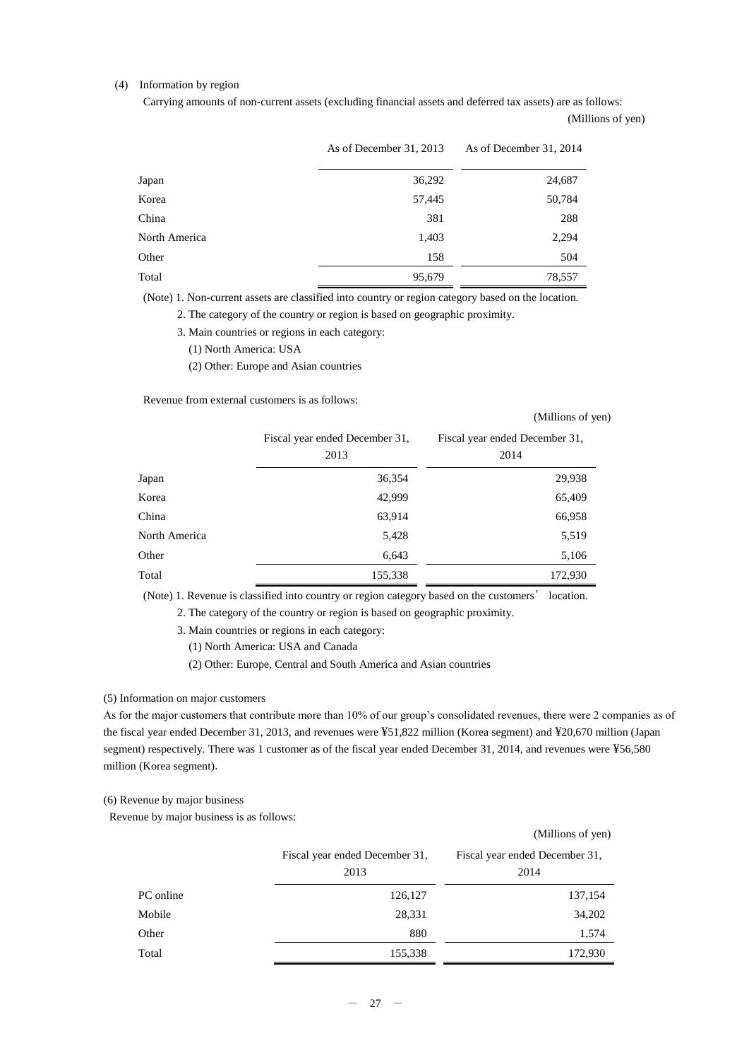### (4) Information by region

Carrying amounts of non-current assets (excluding financial assets and deferred tax assets) are as follows:

(Millions of yen)

(Millions of yen)

|               | As of December 31, 2013 | As of December 31, 2014 |
|---------------|-------------------------|-------------------------|
| Japan         | 36,292                  | 24,687                  |
| Korea         | 57,445                  | 50,784                  |
| China         | 381                     | 288                     |
| North America | 1,403                   | 2,294                   |
| Other         | 158                     | 504                     |
| Total         | 95,679                  | 78,557                  |

(Note) 1. Non-current assets are classified into country or region category based on the location.

2. The category of the country or region is based on geographic proximity.

3. Main countries or regions in each category:

(1) North America: USA

(2) Other: Europe and Asian countries

Revenue from external customers is as follows:

|               | Fiscal year ended December 31,<br>2013 | Fiscal year ended December 31,<br>2014 |
|---------------|----------------------------------------|----------------------------------------|
| Japan         | 36,354                                 | 29,938                                 |
| Korea         | 42,999                                 | 65,409                                 |
| China         | 63,914                                 | 66,958                                 |
| North America | 5,428                                  | 5,519                                  |
| Other         | 6,643                                  | 5,106                                  |
| Total         | 155,338                                | 172,930                                |

(Note) 1. Revenue is classified into country or region category based on the customers' location.

2. The category of the country or region is based on geographic proximity.

- 3. Main countries or regions in each category:
	- (1) North America: USA and Canada

(2) Other: Europe, Central and South America and Asian countries

#### (5) Information on major customers

As for the major customers that contribute more than 10% of our group's consolidated revenues, there were 2 companies as of the fiscal year ended December 31, 2013, and revenues were ¥51,822 million (Korea segment) and ¥20,670 million (Japan segment) respectively. There was 1 customer as of the fiscal year ended December 31, 2014, and revenues were ¥56,580 million (Korea segment).

(6) Revenue by major business

Revenue by major business is as follows:

|           |                                        | (Millions of yen)                      |
|-----------|----------------------------------------|----------------------------------------|
|           | Fiscal year ended December 31,<br>2013 | Fiscal year ended December 31,<br>2014 |
| PC online | 126,127                                | 137,154                                |
| Mobile    | 28,331                                 | 34,202                                 |
| Other     | 880                                    | 1,574                                  |
| Total     | 155,338                                | 172,930                                |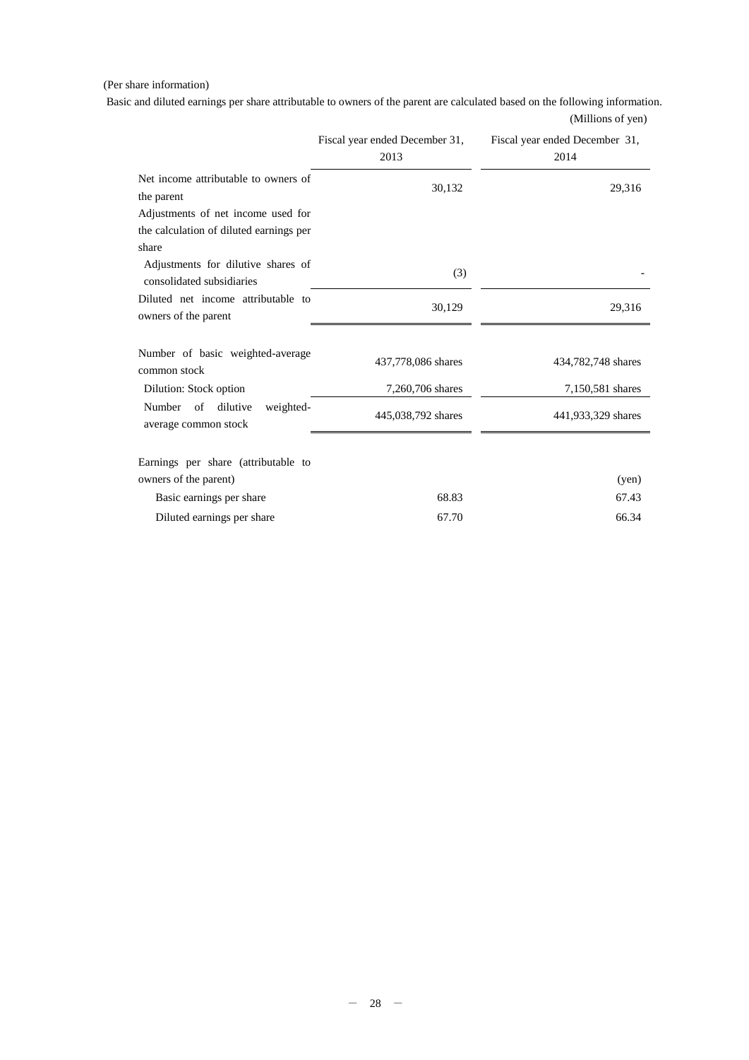## (Per share information)

Basic and diluted earnings per share attributable to owners of the parent are calculated based on the following information. (Millions of yen)

|                                                                 | Fiscal year ended December 31,<br>2013 | Fiscal year ended December 31,<br>2014 |
|-----------------------------------------------------------------|----------------------------------------|----------------------------------------|
| Net income attributable to owners of<br>the parent              | 30,132                                 | 29,316                                 |
| Adjustments of net income used for                              |                                        |                                        |
| the calculation of diluted earnings per                         |                                        |                                        |
| share                                                           |                                        |                                        |
| Adjustments for dilutive shares of<br>consolidated subsidiaries | (3)                                    |                                        |
| Diluted net income attributable to<br>owners of the parent      | 30,129                                 | 29,316                                 |
|                                                                 |                                        |                                        |
| Number of basic weighted-average<br>common stock                | 437,778,086 shares                     | 434,782,748 shares                     |
| Dilution: Stock option                                          | 7,260,706 shares                       | 7,150,581 shares                       |
| Number<br>of<br>dilutive<br>weighted-<br>average common stock   | 445,038,792 shares                     | 441,933,329 shares                     |
|                                                                 |                                        |                                        |
| Earnings per share (attributable to                             |                                        |                                        |
| owners of the parent)                                           |                                        | (yen)                                  |
| Basic earnings per share                                        | 68.83                                  | 67.43                                  |
| Diluted earnings per share                                      | 67.70                                  | 66.34                                  |